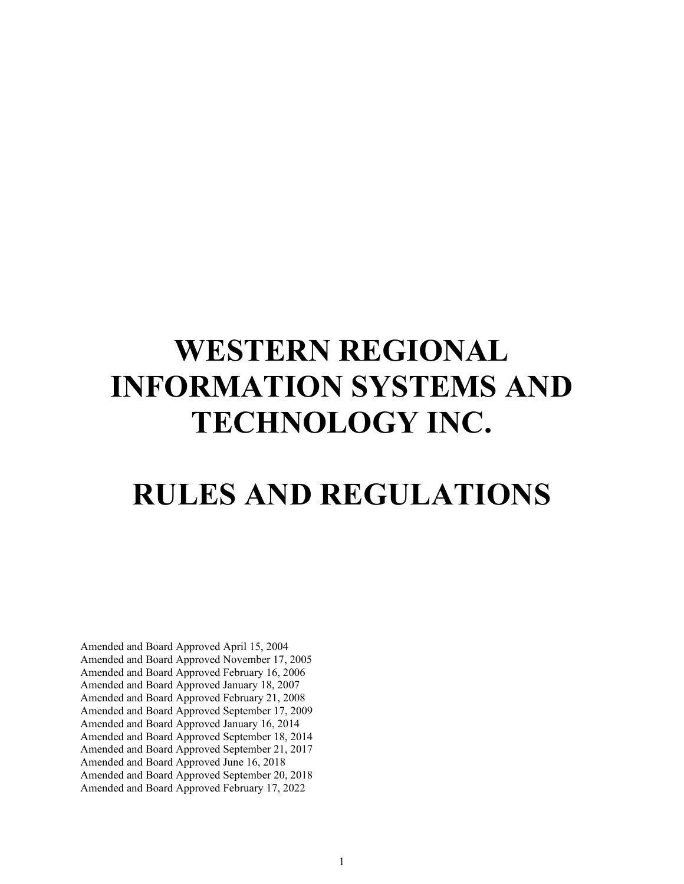# **WESTERN REGIONAL INFORMATION SYSTEMS AND TECHNOLOGY INC.**

# **RULES AND REGULATIONS**

Amended and Board Approved April 15, 2004 Amended and Board Approved November 17, 2005 Amended and Board Approved February 16, 2006 Amended and Board Approved January 18, 2007 Amended and Board Approved February 21, 2008 Amended and Board Approved September 17, 2009 Amended and Board Approved January 16, 2014 Amended and Board Approved September 18, 2014 Amended and Board Approved September 21, 2017 Amended and Board Approved June 16, 2018 Amended and Board Approved September 20, 2018 Amended and Board Approved February 17, 2022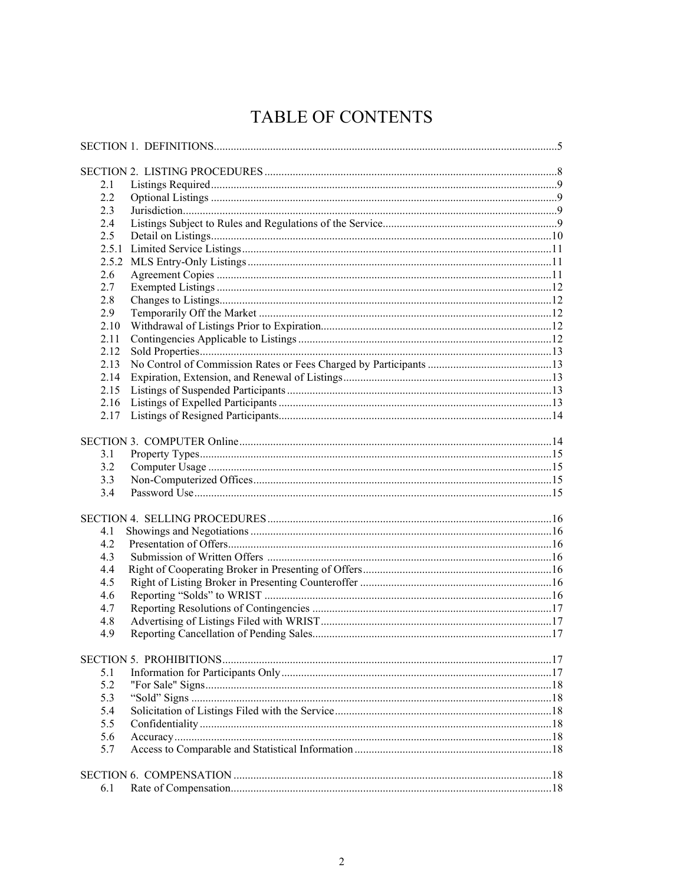# TABLE OF CONTENTS

| 2.1   |  |
|-------|--|
| 2.2   |  |
| 2.3   |  |
| 2.4   |  |
| 2.5   |  |
| 2.5.1 |  |
|       |  |
| 2.6   |  |
| 2.7   |  |
| 2.8   |  |
| 2.9   |  |
| 2.10  |  |
|       |  |
| 2.11  |  |
| 2.12  |  |
| 2.13  |  |
| 2.14  |  |
| 2.15  |  |
| 2.16  |  |
| 2.17  |  |
|       |  |
|       |  |
| 3.1   |  |
| 3.2   |  |
| 3.3   |  |
| 3.4   |  |
|       |  |
|       |  |
| 4.1   |  |
| 4.2   |  |
| 4.3   |  |
| 4.4   |  |
| 4.5   |  |
| 4.6   |  |
| 4.7   |  |
| 4.8   |  |
| 4.9   |  |
|       |  |
|       |  |
| 5.1   |  |
| 5.2   |  |
| 5.3   |  |
| 5.4   |  |
| 5.5   |  |
| 5.6   |  |
| 5.7   |  |
|       |  |
|       |  |
| 6.1   |  |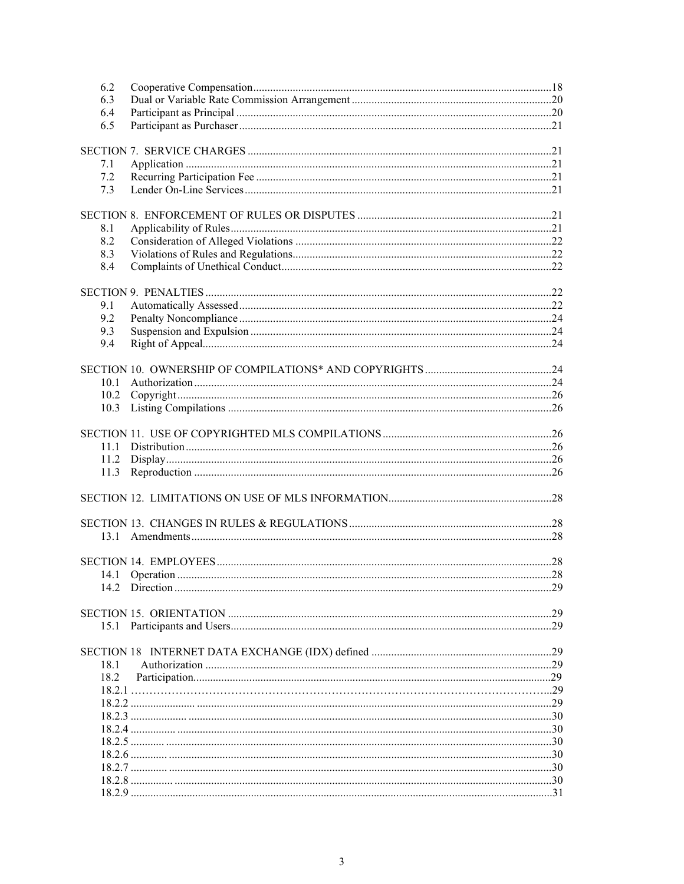| 6.2  |     |
|------|-----|
| 6.3  |     |
| 6.4  |     |
| 6.5  |     |
|      |     |
|      |     |
| 7.1  |     |
| 7.2  |     |
| 7.3  |     |
|      |     |
| 8.1  |     |
| 8.2  |     |
| 8.3  |     |
| 8.4  |     |
|      |     |
|      |     |
| 9.1  |     |
| 9.2  |     |
| 9.3  |     |
| 9.4  |     |
|      |     |
|      |     |
| 10.1 |     |
| 10.2 |     |
| 10.3 |     |
|      |     |
|      |     |
| 11.1 |     |
| 11.2 |     |
| 11.3 |     |
|      |     |
|      |     |
|      |     |
| 13.1 |     |
|      |     |
|      |     |
| 14.1 |     |
|      | .29 |
|      |     |
|      |     |
|      |     |
|      |     |
| 18.1 |     |
| 18.2 |     |
|      |     |
|      |     |
|      |     |
|      |     |
|      |     |
|      |     |
|      |     |
|      |     |
|      |     |
|      |     |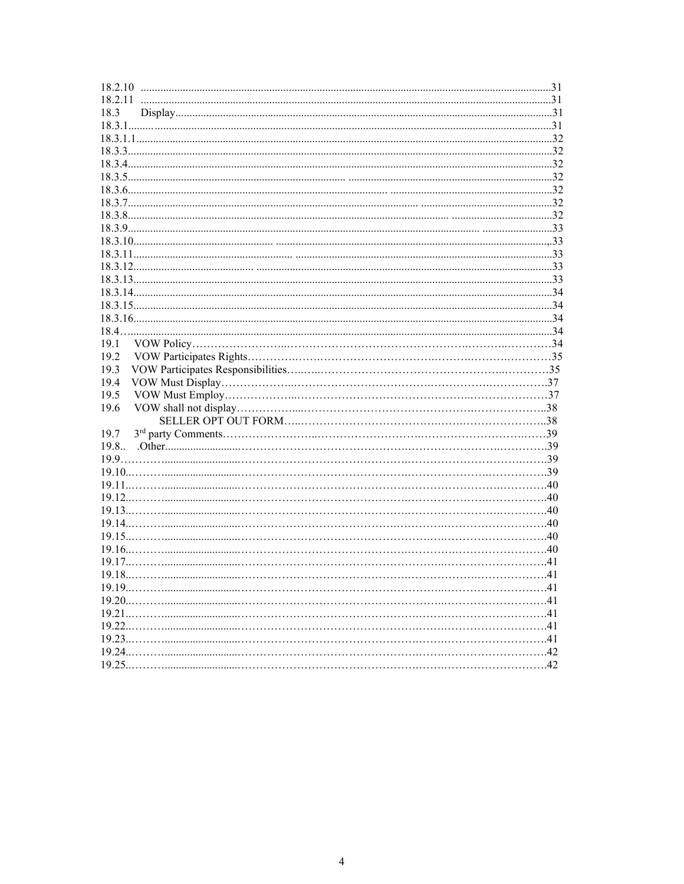| 18.3 |  |
|------|--|
|      |  |
|      |  |
|      |  |
|      |  |
|      |  |
|      |  |
|      |  |
|      |  |
|      |  |
|      |  |
|      |  |
|      |  |
|      |  |
|      |  |
|      |  |
|      |  |
|      |  |
| 19.1 |  |
| 19.2 |  |
| 19.3 |  |
| 19.4 |  |
| 19.5 |  |
| 19.6 |  |
|      |  |
| 19.7 |  |
| 19.8 |  |
|      |  |
|      |  |
|      |  |
|      |  |
|      |  |
|      |  |
|      |  |
|      |  |
|      |  |
|      |  |
|      |  |
|      |  |
|      |  |
|      |  |
|      |  |
|      |  |
|      |  |
|      |  |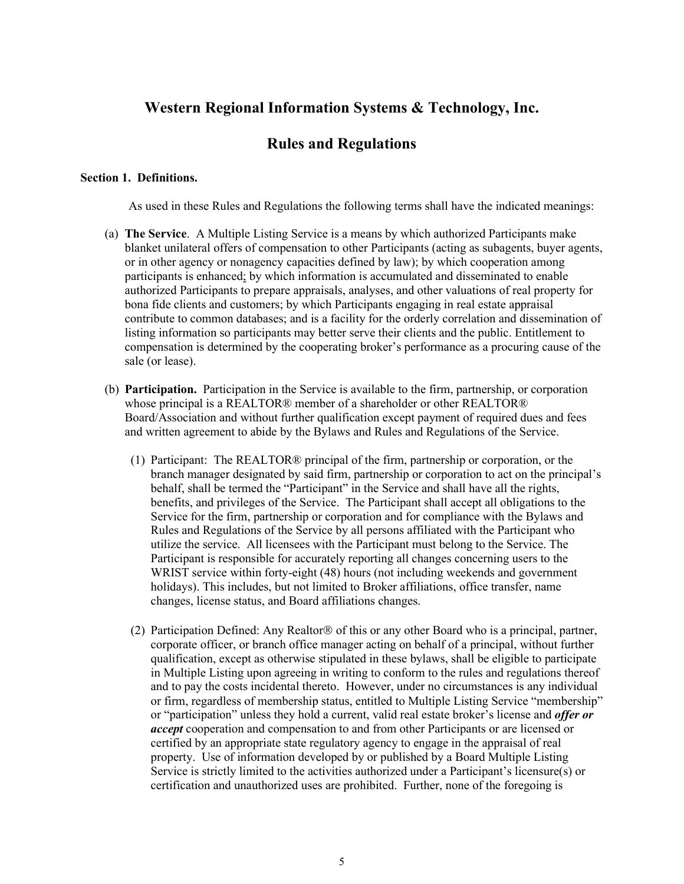# **Western Regional Information Systems & Technology, Inc.**

# **Rules and Regulations**

#### **Section 1. Definitions.**

As used in these Rules and Regulations the following terms shall have the indicated meanings:

- (a) **The Service**. A Multiple Listing Service is a means by which authorized Participants make blanket unilateral offers of compensation to other Participants (acting as subagents, buyer agents, or in other agency or nonagency capacities defined by law); by which cooperation among participants is enhanced; by which information is accumulated and disseminated to enable authorized Participants to prepare appraisals, analyses, and other valuations of real property for bona fide clients and customers; by which Participants engaging in real estate appraisal contribute to common databases; and is a facility for the orderly correlation and dissemination of listing information so participants may better serve their clients and the public. Entitlement to compensation is determined by the cooperating broker's performance as a procuring cause of the sale (or lease).
- (b) **Participation.** Participation in the Service is available to the firm, partnership, or corporation whose principal is a REALTOR® member of a shareholder or other REALTOR® Board/Association and without further qualification except payment of required dues and fees and written agreement to abide by the Bylaws and Rules and Regulations of the Service.
	- (1) Participant: The REALTOR® principal of the firm, partnership or corporation, or the branch manager designated by said firm, partnership or corporation to act on the principal's behalf, shall be termed the "Participant" in the Service and shall have all the rights, benefits, and privileges of the Service. The Participant shall accept all obligations to the Service for the firm, partnership or corporation and for compliance with the Bylaws and Rules and Regulations of the Service by all persons affiliated with the Participant who utilize the service. All licensees with the Participant must belong to the Service. The Participant is responsible for accurately reporting all changes concerning users to the WRIST service within forty-eight (48) hours (not including weekends and government holidays). This includes, but not limited to Broker affiliations, office transfer, name changes, license status, and Board affiliations changes.
	- (2) Participation Defined: Any Realtor  $\circledR$  of this or any other Board who is a principal, partner, corporate officer, or branch office manager acting on behalf of a principal, without further qualification, except as otherwise stipulated in these bylaws, shall be eligible to participate in Multiple Listing upon agreeing in writing to conform to the rules and regulations thereof and to pay the costs incidental thereto. However, under no circumstances is any individual or firm, regardless of membership status, entitled to Multiple Listing Service "membership" or "participation" unless they hold a current, valid real estate broker's license and *offer or accept* cooperation and compensation to and from other Participants or are licensed or certified by an appropriate state regulatory agency to engage in the appraisal of real property. Use of information developed by or published by a Board Multiple Listing Service is strictly limited to the activities authorized under a Participant's licensure(s) or certification and unauthorized uses are prohibited. Further, none of the foregoing is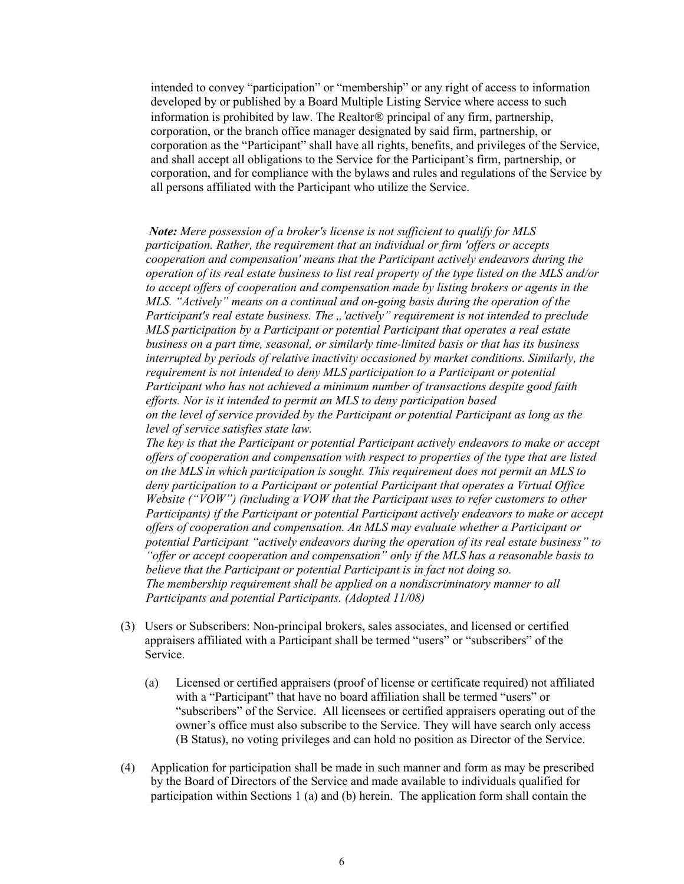intended to convey "participation" or "membership" or any right of access to information developed by or published by a Board Multiple Listing Service where access to such information is prohibited by law. The Realtor<sup>®</sup> principal of any firm, partnership, corporation, or the branch office manager designated by said firm, partnership, or corporation as the "Participant" shall have all rights, benefits, and privileges of the Service, and shall accept all obligations to the Service for the Participant's firm, partnership, or corporation, and for compliance with the bylaws and rules and regulations of the Service by all persons affiliated with the Participant who utilize the Service.

*Note: Mere possession of a broker's license is not sufficient to qualify for MLS participation. Rather, the requirement that an individual or firm 'offers or accepts cooperation and compensation' means that the Participant actively endeavors during the operation of its real estate business to list real property of the type listed on the MLS and/or to accept offers of cooperation and compensation made by listing brokers or agents in the MLS. "Actively" means on a continual and on-going basis during the operation of the*  Participant's real estate business. The "'cactively" requirement is not intended to preclude *MLS participation by a Participant or potential Participant that operates a real estate business on a part time, seasonal, or similarly time-limited basis or that has its business interrupted by periods of relative inactivity occasioned by market conditions. Similarly, the requirement is not intended to deny MLS participation to a Participant or potential Participant who has not achieved a minimum number of transactions despite good faith efforts. Nor is it intended to permit an MLS to deny participation based on the level of service provided by the Participant or potential Participant as long as the level of service satisfies state law. The key is that the Participant or potential Participant actively endeavors to make or accept* 

*offers of cooperation and compensation with respect to properties of the type that are listed on the MLS in which participation is sought. This requirement does not permit an MLS to deny participation to a Participant or potential Participant that operates a Virtual Office Website ("VOW") (including a VOW that the Participant uses to refer customers to other Participants) if the Participant or potential Participant actively endeavors to make or accept offers of cooperation and compensation. An MLS may evaluate whether a Participant or potential Participant "actively endeavors during the operation of its real estate business" to "offer or accept cooperation and compensation" only if the MLS has a reasonable basis to believe that the Participant or potential Participant is in fact not doing so. The membership requirement shall be applied on a nondiscriminatory manner to all Participants and potential Participants. (Adopted 11/08)*

- (3) Users or Subscribers: Non-principal brokers, sales associates, and licensed or certified appraisers affiliated with a Participant shall be termed "users" or "subscribers" of the Service.
	- (a) Licensed or certified appraisers (proof of license or certificate required) not affiliated with a "Participant" that have no board affiliation shall be termed "users" or "subscribers" of the Service. All licensees or certified appraisers operating out of the owner's office must also subscribe to the Service. They will have search only access (B Status), no voting privileges and can hold no position as Director of the Service.
- (4) Application for participation shall be made in such manner and form as may be prescribed by the Board of Directors of the Service and made available to individuals qualified for participation within Sections 1 (a) and (b) herein. The application form shall contain the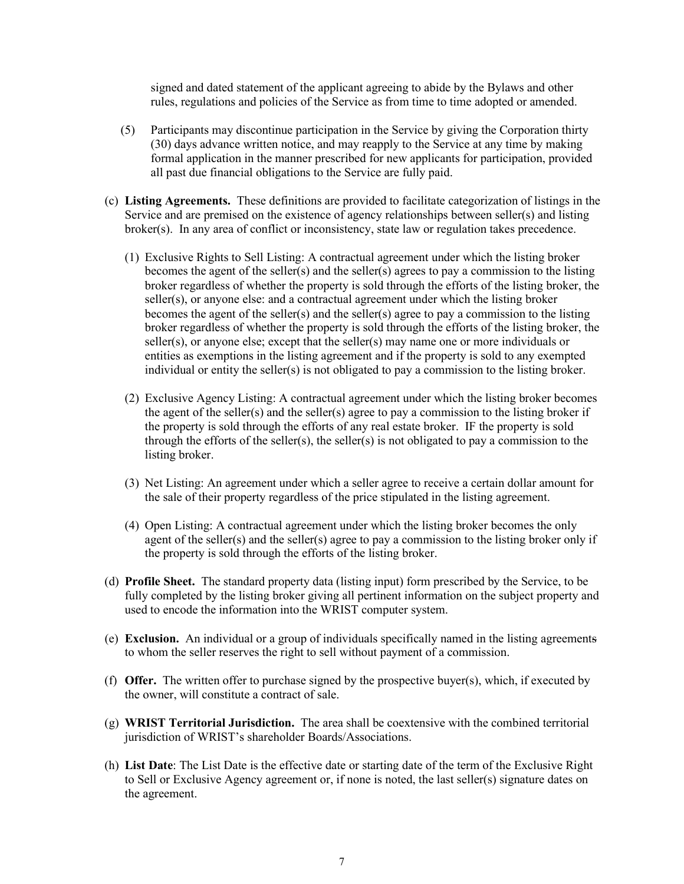signed and dated statement of the applicant agreeing to abide by the Bylaws and other rules, regulations and policies of the Service as from time to time adopted or amended.

- (5) Participants may discontinue participation in the Service by giving the Corporation thirty (30) days advance written notice, and may reapply to the Service at any time by making formal application in the manner prescribed for new applicants for participation, provided all past due financial obligations to the Service are fully paid.
- (c) **Listing Agreements.** These definitions are provided to facilitate categorization of listings in the Service and are premised on the existence of agency relationships between seller(s) and listing broker(s). In any area of conflict or inconsistency, state law or regulation takes precedence.
	- (1) Exclusive Rights to Sell Listing: A contractual agreement under which the listing broker becomes the agent of the seller(s) and the seller(s) agrees to pay a commission to the listing broker regardless of whether the property is sold through the efforts of the listing broker, the seller(s), or anyone else: and a contractual agreement under which the listing broker becomes the agent of the seller(s) and the seller(s) agree to pay a commission to the listing broker regardless of whether the property is sold through the efforts of the listing broker, the seller(s), or anyone else; except that the seller(s) may name one or more individuals or entities as exemptions in the listing agreement and if the property is sold to any exempted individual or entity the seller(s) is not obligated to pay a commission to the listing broker.
	- (2) Exclusive Agency Listing: A contractual agreement under which the listing broker becomes the agent of the seller(s) and the seller(s) agree to pay a commission to the listing broker if the property is sold through the efforts of any real estate broker. IF the property is sold through the efforts of the seller(s), the seller(s) is not obligated to pay a commission to the listing broker.
	- (3) Net Listing: An agreement under which a seller agree to receive a certain dollar amount for the sale of their property regardless of the price stipulated in the listing agreement.
	- (4) Open Listing: A contractual agreement under which the listing broker becomes the only agent of the seller(s) and the seller(s) agree to pay a commission to the listing broker only if the property is sold through the efforts of the listing broker.
- (d) **Profile Sheet.** The standard property data (listing input) form prescribed by the Service, to be fully completed by the listing broker giving all pertinent information on the subject property and used to encode the information into the WRIST computer system.
- (e) **Exclusion.** An individual or a group of individuals specifically named in the listing agreements to whom the seller reserves the right to sell without payment of a commission.
- (f) **Offer.** The written offer to purchase signed by the prospective buyer(s), which, if executed by the owner, will constitute a contract of sale.
- (g) **WRIST Territorial Jurisdiction.** The area shall be coextensive with the combined territorial jurisdiction of WRIST's shareholder Boards/Associations.
- (h) **List Date**: The List Date is the effective date or starting date of the term of the Exclusive Right to Sell or Exclusive Agency agreement or, if none is noted, the last seller(s) signature dates on the agreement.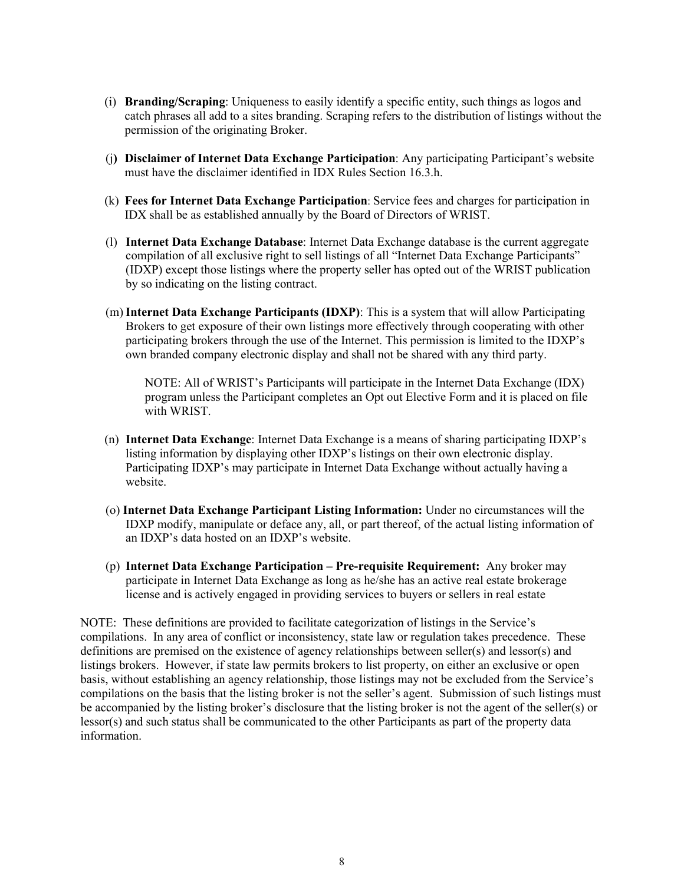- (i) **Branding/Scraping**: Uniqueness to easily identify a specific entity, such things as logos and catch phrases all add to a sites branding. Scraping refers to the distribution of listings without the permission of the originating Broker.
- (j**) Disclaimer of Internet Data Exchange Participation**: Any participating Participant's website must have the disclaimer identified in IDX Rules Section 16.3.h.
- (k) **Fees for Internet Data Exchange Participation**: Service fees and charges for participation in IDX shall be as established annually by the Board of Directors of WRIST.
- (l) **Internet Data Exchange Database**: Internet Data Exchange database is the current aggregate compilation of all exclusive right to sell listings of all "Internet Data Exchange Participants" (IDXP) except those listings where the property seller has opted out of the WRIST publication by so indicating on the listing contract.
- (m)**Internet Data Exchange Participants (IDXP)**: This is a system that will allow Participating Brokers to get exposure of their own listings more effectively through cooperating with other participating brokers through the use of the Internet. This permission is limited to the IDXP's own branded company electronic display and shall not be shared with any third party.

NOTE: All of WRIST's Participants will participate in the Internet Data Exchange (IDX) program unless the Participant completes an Opt out Elective Form and it is placed on file with WRIST.

- (n) **Internet Data Exchange**: Internet Data Exchange is a means of sharing participating IDXP's listing information by displaying other IDXP's listings on their own electronic display. Participating IDXP's may participate in Internet Data Exchange without actually having a website.
- (o) **Internet Data Exchange Participant Listing Information:** Under no circumstances will the IDXP modify, manipulate or deface any, all, or part thereof, of the actual listing information of an IDXP's data hosted on an IDXP's website.
- (p) **Internet Data Exchange Participation – Pre-requisite Requirement:** Any broker may participate in Internet Data Exchange as long as he/she has an active real estate brokerage license and is actively engaged in providing services to buyers or sellers in real estate

NOTE: These definitions are provided to facilitate categorization of listings in the Service's compilations. In any area of conflict or inconsistency, state law or regulation takes precedence. These definitions are premised on the existence of agency relationships between seller(s) and lessor(s) and listings brokers. However, if state law permits brokers to list property, on either an exclusive or open basis, without establishing an agency relationship, those listings may not be excluded from the Service's compilations on the basis that the listing broker is not the seller's agent. Submission of such listings must be accompanied by the listing broker's disclosure that the listing broker is not the agent of the seller(s) or lessor(s) and such status shall be communicated to the other Participants as part of the property data information.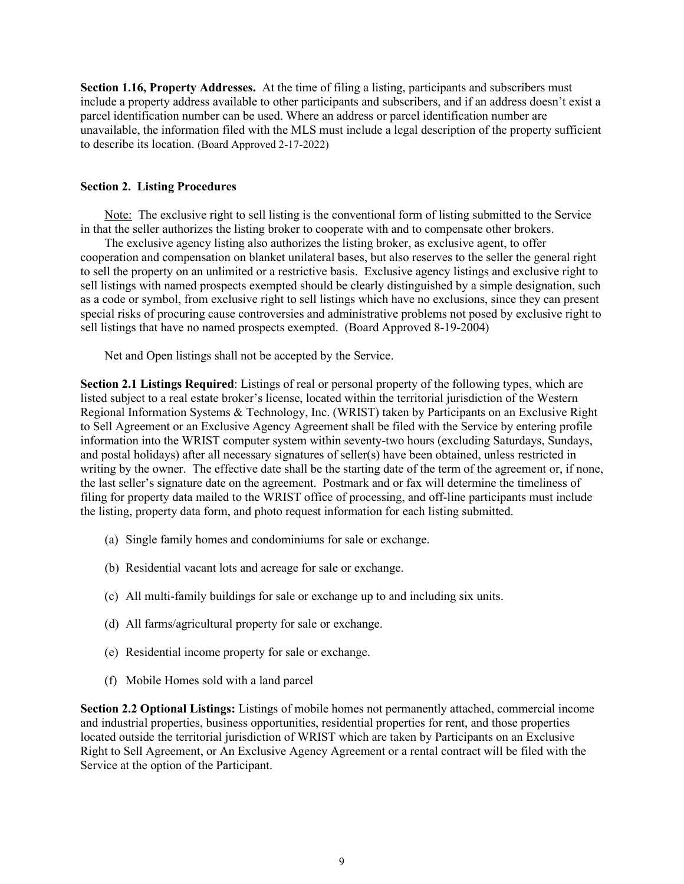**Section 1.16, Property Addresses.** At the time of filing a listing, participants and subscribers must include a property address available to other participants and subscribers, and if an address doesn't exist a parcel identification number can be used. Where an address or parcel identification number are unavailable, the information filed with the MLS must include a legal description of the property sufficient to describe its location. (Board Approved 2-17-2022)

#### **Section 2. Listing Procedures**

Note: The exclusive right to sell listing is the conventional form of listing submitted to the Service in that the seller authorizes the listing broker to cooperate with and to compensate other brokers.

The exclusive agency listing also authorizes the listing broker, as exclusive agent, to offer cooperation and compensation on blanket unilateral bases, but also reserves to the seller the general right to sell the property on an unlimited or a restrictive basis. Exclusive agency listings and exclusive right to sell listings with named prospects exempted should be clearly distinguished by a simple designation, such as a code or symbol, from exclusive right to sell listings which have no exclusions, since they can present special risks of procuring cause controversies and administrative problems not posed by exclusive right to sell listings that have no named prospects exempted. (Board Approved 8-19-2004)

Net and Open listings shall not be accepted by the Service.

**Section 2.1 Listings Required**: Listings of real or personal property of the following types, which are listed subject to a real estate broker's license, located within the territorial jurisdiction of the Western Regional Information Systems & Technology, Inc. (WRIST) taken by Participants on an Exclusive Right to Sell Agreement or an Exclusive Agency Agreement shall be filed with the Service by entering profile information into the WRIST computer system within seventy-two hours (excluding Saturdays, Sundays, and postal holidays) after all necessary signatures of seller(s) have been obtained, unless restricted in writing by the owner. The effective date shall be the starting date of the term of the agreement or, if none, the last seller's signature date on the agreement. Postmark and or fax will determine the timeliness of filing for property data mailed to the WRIST office of processing, and off-line participants must include the listing, property data form, and photo request information for each listing submitted.

- (a) Single family homes and condominiums for sale or exchange.
- (b) Residential vacant lots and acreage for sale or exchange.
- (c) All multi-family buildings for sale or exchange up to and including six units.
- (d) All farms/agricultural property for sale or exchange.
- (e) Residential income property for sale or exchange.
- (f) Mobile Homes sold with a land parcel

**Section 2.2 Optional Listings:** Listings of mobile homes not permanently attached, commercial income and industrial properties, business opportunities, residential properties for rent, and those properties located outside the territorial jurisdiction of WRIST which are taken by Participants on an Exclusive Right to Sell Agreement, or An Exclusive Agency Agreement or a rental contract will be filed with the Service at the option of the Participant.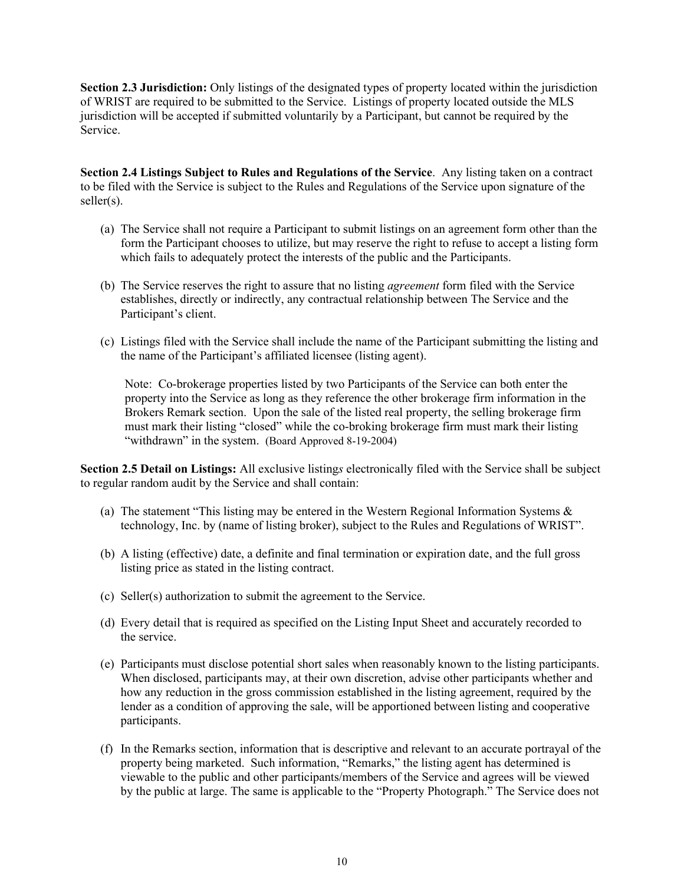**Section 2.3 Jurisdiction:** Only listings of the designated types of property located within the jurisdiction of WRIST are required to be submitted to the Service. Listings of property located outside the MLS jurisdiction will be accepted if submitted voluntarily by a Participant, but cannot be required by the Service.

**Section 2.4 Listings Subject to Rules and Regulations of the Service**. Any listing taken on a contract to be filed with the Service is subject to the Rules and Regulations of the Service upon signature of the seller(s).

- (a) The Service shall not require a Participant to submit listings on an agreement form other than the form the Participant chooses to utilize, but may reserve the right to refuse to accept a listing form which fails to adequately protect the interests of the public and the Participants.
- (b) The Service reserves the right to assure that no listing *agreement* form filed with the Service establishes, directly or indirectly, any contractual relationship between The Service and the Participant's client.
- (c) Listings filed with the Service shall include the name of the Participant submitting the listing and the name of the Participant's affiliated licensee (listing agent).

Note: Co-brokerage properties listed by two Participants of the Service can both enter the property into the Service as long as they reference the other brokerage firm information in the Brokers Remark section. Upon the sale of the listed real property, the selling brokerage firm must mark their listing "closed" while the co-broking brokerage firm must mark their listing "withdrawn" in the system. (Board Approved 8-19-2004)

**Section 2.5 Detail on Listings:** All exclusive listing*s* electronically filed with the Service shall be subject to regular random audit by the Service and shall contain:

- (a) The statement "This listing may be entered in the Western Regional Information Systems  $\&$ technology, Inc. by (name of listing broker), subject to the Rules and Regulations of WRIST".
- (b) A listing (effective) date, a definite and final termination or expiration date, and the full gross listing price as stated in the listing contract.
- (c) Seller(s) authorization to submit the agreement to the Service.
- (d) Every detail that is required as specified on the Listing Input Sheet and accurately recorded to the service.
- (e) Participants must disclose potential short sales when reasonably known to the listing participants. When disclosed, participants may, at their own discretion, advise other participants whether and how any reduction in the gross commission established in the listing agreement, required by the lender as a condition of approving the sale, will be apportioned between listing and cooperative participants.
- (f) In the Remarks section, information that is descriptive and relevant to an accurate portrayal of the property being marketed. Such information, "Remarks," the listing agent has determined is viewable to the public and other participants/members of the Service and agrees will be viewed by the public at large. The same is applicable to the "Property Photograph." The Service does not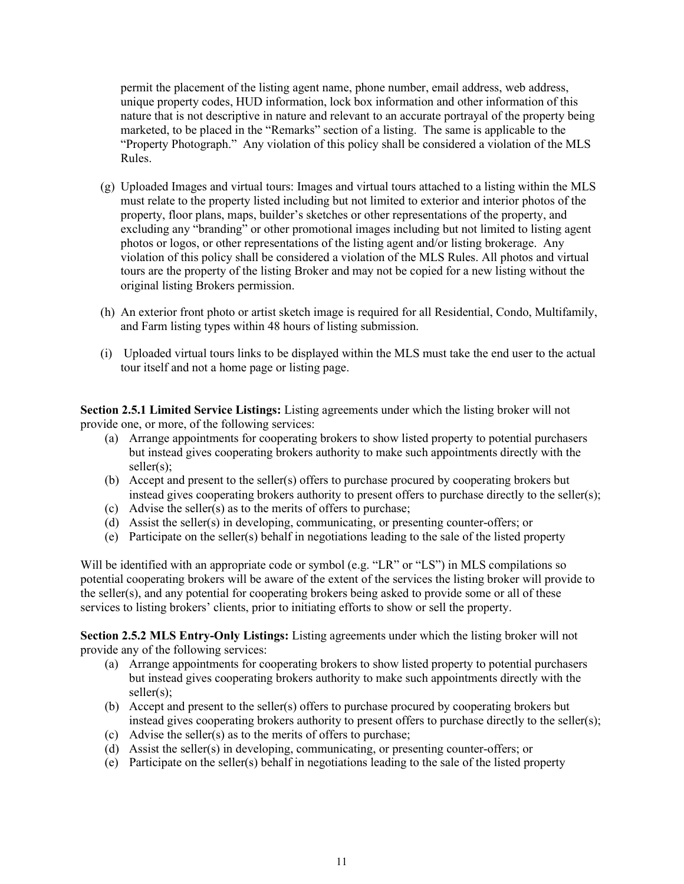permit the placement of the listing agent name, phone number, email address, web address, unique property codes, HUD information, lock box information and other information of this nature that is not descriptive in nature and relevant to an accurate portrayal of the property being marketed, to be placed in the "Remarks" section of a listing. The same is applicable to the "Property Photograph." Any violation of this policy shall be considered a violation of the MLS Rules.

- (g) Uploaded Images and virtual tours: Images and virtual tours attached to a listing within the MLS must relate to the property listed including but not limited to exterior and interior photos of the property, floor plans, maps, builder's sketches or other representations of the property, and excluding any "branding" or other promotional images including but not limited to listing agent photos or logos, or other representations of the listing agent and/or listing brokerage. Any violation of this policy shall be considered a violation of the MLS Rules. All photos and virtual tours are the property of the listing Broker and may not be copied for a new listing without the original listing Brokers permission.
- (h) An exterior front photo or artist sketch image is required for all Residential, Condo, Multifamily, and Farm listing types within 48 hours of listing submission.
- (i) Uploaded virtual tours links to be displayed within the MLS must take the end user to the actual tour itself and not a home page or listing page.

**Section 2.5.1 Limited Service Listings:** Listing agreements under which the listing broker will not provide one, or more, of the following services:

- (a) Arrange appointments for cooperating brokers to show listed property to potential purchasers but instead gives cooperating brokers authority to make such appointments directly with the seller(s):
- (b) Accept and present to the seller(s) offers to purchase procured by cooperating brokers but instead gives cooperating brokers authority to present offers to purchase directly to the seller(s);
- (c) Advise the seller(s) as to the merits of offers to purchase;
- (d) Assist the seller(s) in developing, communicating, or presenting counter-offers; or
- (e) Participate on the seller(s) behalf in negotiations leading to the sale of the listed property

Will be identified with an appropriate code or symbol (e.g. "LR" or "LS") in MLS compilations so potential cooperating brokers will be aware of the extent of the services the listing broker will provide to the seller(s), and any potential for cooperating brokers being asked to provide some or all of these services to listing brokers' clients, prior to initiating efforts to show or sell the property.

**Section 2.5.2 MLS Entry-Only Listings:** Listing agreements under which the listing broker will not provide any of the following services:

- (a) Arrange appointments for cooperating brokers to show listed property to potential purchasers but instead gives cooperating brokers authority to make such appointments directly with the seller(s);
- (b) Accept and present to the seller(s) offers to purchase procured by cooperating brokers but instead gives cooperating brokers authority to present offers to purchase directly to the seller(s);
- (c) Advise the seller(s) as to the merits of offers to purchase;
- (d) Assist the seller(s) in developing, communicating, or presenting counter-offers; or
- (e) Participate on the seller(s) behalf in negotiations leading to the sale of the listed property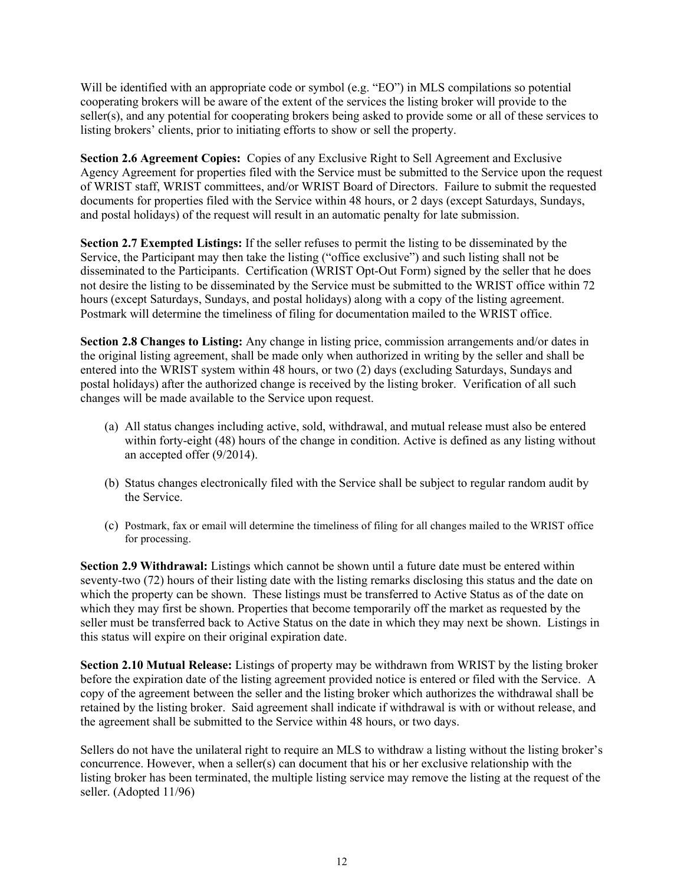Will be identified with an appropriate code or symbol (e.g. "EO") in MLS compilations so potential cooperating brokers will be aware of the extent of the services the listing broker will provide to the seller(s), and any potential for cooperating brokers being asked to provide some or all of these services to listing brokers' clients, prior to initiating efforts to show or sell the property.

**Section 2.6 Agreement Copies:** Copies of any Exclusive Right to Sell Agreement and Exclusive Agency Agreement for properties filed with the Service must be submitted to the Service upon the request of WRIST staff, WRIST committees, and/or WRIST Board of Directors. Failure to submit the requested documents for properties filed with the Service within 48 hours, or 2 days (except Saturdays, Sundays, and postal holidays) of the request will result in an automatic penalty for late submission.

**Section 2.7 Exempted Listings:** If the seller refuses to permit the listing to be disseminated by the Service, the Participant may then take the listing ("office exclusive") and such listing shall not be disseminated to the Participants. Certification (WRIST Opt-Out Form) signed by the seller that he does not desire the listing to be disseminated by the Service must be submitted to the WRIST office within 72 hours (except Saturdays, Sundays, and postal holidays) along with a copy of the listing agreement. Postmark will determine the timeliness of filing for documentation mailed to the WRIST office.

**Section 2.8 Changes to Listing:** Any change in listing price, commission arrangements and/or dates in the original listing agreement, shall be made only when authorized in writing by the seller and shall be entered into the WRIST system within 48 hours, or two (2) days (excluding Saturdays, Sundays and postal holidays) after the authorized change is received by the listing broker. Verification of all such changes will be made available to the Service upon request.

- (a) All status changes including active, sold, withdrawal, and mutual release must also be entered within forty-eight (48) hours of the change in condition. Active is defined as any listing without an accepted offer (9/2014).
- (b) Status changes electronically filed with the Service shall be subject to regular random audit by the Service.
- (c) Postmark, fax or email will determine the timeliness of filing for all changes mailed to the WRIST office for processing.

**Section 2.9 Withdrawal:** Listings which cannot be shown until a future date must be entered within seventy-two (72) hours of their listing date with the listing remarks disclosing this status and the date on which the property can be shown. These listings must be transferred to Active Status as of the date on which they may first be shown. Properties that become temporarily off the market as requested by the seller must be transferred back to Active Status on the date in which they may next be shown. Listings in this status will expire on their original expiration date.

**Section 2.10 Mutual Release:** Listings of property may be withdrawn from WRIST by the listing broker before the expiration date of the listing agreement provided notice is entered or filed with the Service. A copy of the agreement between the seller and the listing broker which authorizes the withdrawal shall be retained by the listing broker. Said agreement shall indicate if withdrawal is with or without release, and the agreement shall be submitted to the Service within 48 hours, or two days.

Sellers do not have the unilateral right to require an MLS to withdraw a listing without the listing broker's concurrence. However, when a seller(s) can document that his or her exclusive relationship with the listing broker has been terminated, the multiple listing service may remove the listing at the request of the seller. (Adopted 11/96)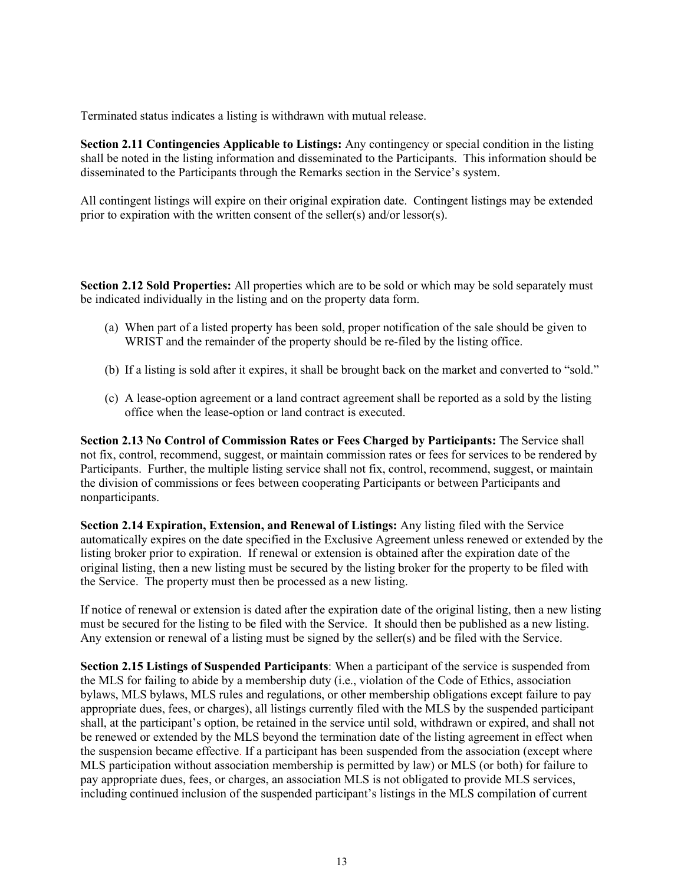Terminated status indicates a listing is withdrawn with mutual release.

**Section 2.11 Contingencies Applicable to Listings:** Any contingency or special condition in the listing shall be noted in the listing information and disseminated to the Participants. This information should be disseminated to the Participants through the Remarks section in the Service's system.

All contingent listings will expire on their original expiration date. Contingent listings may be extended prior to expiration with the written consent of the seller(s) and/or lessor(s).

**Section 2.12 Sold Properties:** All properties which are to be sold or which may be sold separately must be indicated individually in the listing and on the property data form.

- (a) When part of a listed property has been sold, proper notification of the sale should be given to WRIST and the remainder of the property should be re-filed by the listing office.
- (b) If a listing is sold after it expires, it shall be brought back on the market and converted to "sold."
- (c) A lease-option agreement or a land contract agreement shall be reported as a sold by the listing office when the lease-option or land contract is executed.

**Section 2.13 No Control of Commission Rates or Fees Charged by Participants:** The Service shall not fix, control, recommend, suggest, or maintain commission rates or fees for services to be rendered by Participants. Further, the multiple listing service shall not fix, control, recommend, suggest, or maintain the division of commissions or fees between cooperating Participants or between Participants and nonparticipants.

**Section 2.14 Expiration, Extension, and Renewal of Listings:** Any listing filed with the Service automatically expires on the date specified in the Exclusive Agreement unless renewed or extended by the listing broker prior to expiration. If renewal or extension is obtained after the expiration date of the original listing, then a new listing must be secured by the listing broker for the property to be filed with the Service. The property must then be processed as a new listing.

If notice of renewal or extension is dated after the expiration date of the original listing, then a new listing must be secured for the listing to be filed with the Service. It should then be published as a new listing. Any extension or renewal of a listing must be signed by the seller(s) and be filed with the Service.

**Section 2.15 Listings of Suspended Participants**: When a participant of the service is suspended from the MLS for failing to abide by a membership duty (i.e., violation of the Code of Ethics, association bylaws, MLS bylaws, MLS rules and regulations, or other membership obligations except failure to pay appropriate dues, fees, or charges), all listings currently filed with the MLS by the suspended participant shall, at the participant's option, be retained in the service until sold, withdrawn or expired, and shall not be renewed or extended by the MLS beyond the termination date of the listing agreement in effect when the suspension became effective. If a participant has been suspended from the association (except where MLS participation without association membership is permitted by law) or MLS (or both) for failure to pay appropriate dues, fees, or charges, an association MLS is not obligated to provide MLS services, including continued inclusion of the suspended participant's listings in the MLS compilation of current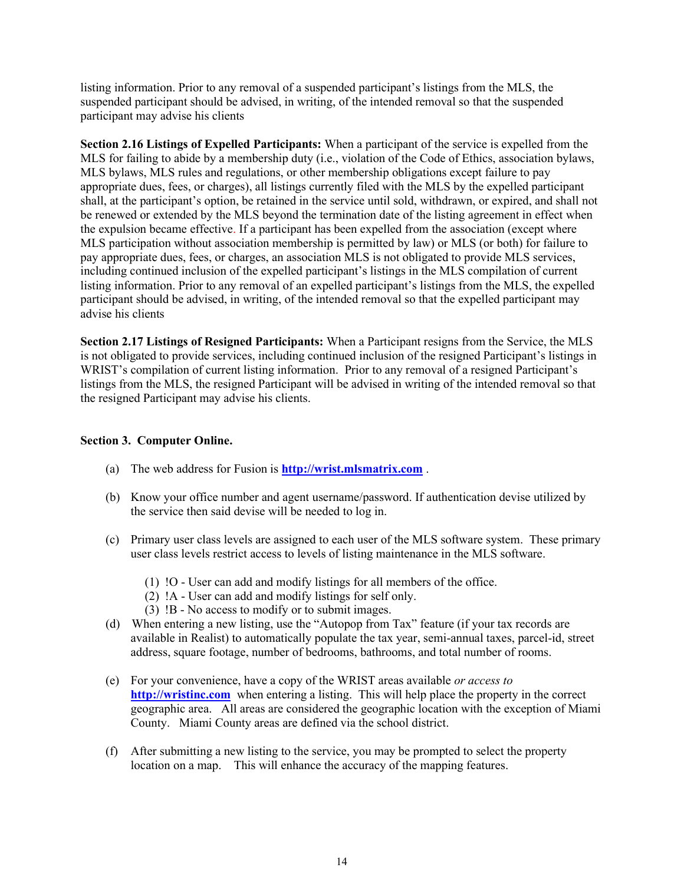listing information. Prior to any removal of a suspended participant's listings from the MLS, the suspended participant should be advised, in writing, of the intended removal so that the suspended participant may advise his clients

**Section 2.16 Listings of Expelled Participants:** When a participant of the service is expelled from the MLS for failing to abide by a membership duty (i.e., violation of the Code of Ethics, association bylaws, MLS bylaws, MLS rules and regulations, or other membership obligations except failure to pay appropriate dues, fees, or charges), all listings currently filed with the MLS by the expelled participant shall, at the participant's option, be retained in the service until sold, withdrawn, or expired, and shall not be renewed or extended by the MLS beyond the termination date of the listing agreement in effect when the expulsion became effective. If a participant has been expelled from the association (except where MLS participation without association membership is permitted by law) or MLS (or both) for failure to pay appropriate dues, fees, or charges, an association MLS is not obligated to provide MLS services, including continued inclusion of the expelled participant's listings in the MLS compilation of current listing information. Prior to any removal of an expelled participant's listings from the MLS, the expelled participant should be advised, in writing, of the intended removal so that the expelled participant may advise his clients

**Section 2.17 Listings of Resigned Participants:** When a Participant resigns from the Service, the MLS is not obligated to provide services, including continued inclusion of the resigned Participant's listings in WRIST's compilation of current listing information. Prior to any removal of a resigned Participant's listings from the MLS, the resigned Participant will be advised in writing of the intended removal so that the resigned Participant may advise his clients.

#### **Section 3. Computer Online.**

- (a) The web address for Fusion is **[http://wrist.mlsmatrix.com](http://wrist.mlsmatrix.com/)** .
- (b) Know your office number and agent username/password. If authentication devise utilized by the service then said devise will be needed to log in.
- (c) Primary user class levels are assigned to each user of the MLS software system. These primary user class levels restrict access to levels of listing maintenance in the MLS software.
	- (1) !O User can add and modify listings for all members of the office.
	- (2) !A User can add and modify listings for self only.
	- (3) !B No access to modify or to submit images.
- (d) When entering a new listing, use the "Autopop from Tax" feature (if your tax records are available in Realist) to automatically populate the tax year, semi-annual taxes, parcel-id, street address, square footage, number of bedrooms, bathrooms, and total number of rooms.
- (e) For your convenience, have a copy of the WRIST areas available *or access to* **[http://wristinc.com](http://wristinc.com/)** when entering a listing. This will help place the property in the correct geographic area. All areas are considered the geographic location with the exception of Miami County. Miami County areas are defined via the school district.
- (f) After submitting a new listing to the service, you may be prompted to select the property location on a map. This will enhance the accuracy of the mapping features.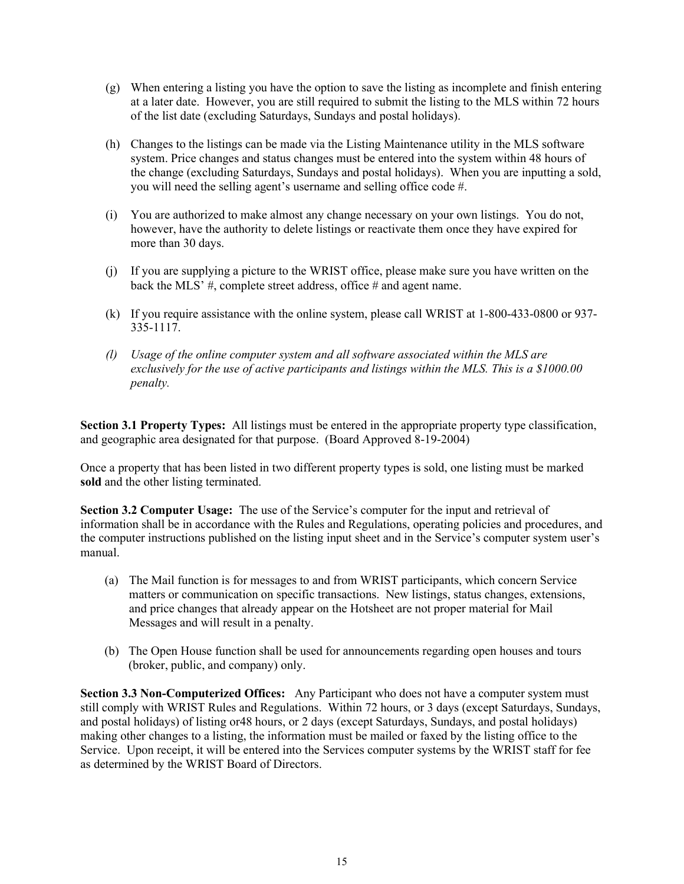- (g) When entering a listing you have the option to save the listing as incomplete and finish entering at a later date. However, you are still required to submit the listing to the MLS within 72 hours of the list date (excluding Saturdays, Sundays and postal holidays).
- (h) Changes to the listings can be made via the Listing Maintenance utility in the MLS software system. Price changes and status changes must be entered into the system within 48 hours of the change (excluding Saturdays, Sundays and postal holidays). When you are inputting a sold, you will need the selling agent's username and selling office code #.
- (i) You are authorized to make almost any change necessary on your own listings. You do not, however, have the authority to delete listings or reactivate them once they have expired for more than 30 days.
- (j) If you are supplying a picture to the WRIST office, please make sure you have written on the back the MLS' #, complete street address, office # and agent name.
- (k) If you require assistance with the online system, please call WRIST at 1-800-433-0800 or 937- 335-1117.
- *(l) Usage of the online computer system and all software associated within the MLS are exclusively for the use of active participants and listings within the MLS. This is a \$1000.00 penalty.*

**Section 3.1 Property Types:** All listings must be entered in the appropriate property type classification, and geographic area designated for that purpose. (Board Approved 8-19-2004)

Once a property that has been listed in two different property types is sold, one listing must be marked **sold** and the other listing terminated.

**Section 3.2 Computer Usage:** The use of the Service's computer for the input and retrieval of information shall be in accordance with the Rules and Regulations, operating policies and procedures, and the computer instructions published on the listing input sheet and in the Service's computer system user's manual.

- (a) The Mail function is for messages to and from WRIST participants, which concern Service matters or communication on specific transactions. New listings, status changes, extensions, and price changes that already appear on the Hotsheet are not proper material for Mail Messages and will result in a penalty.
- (b) The Open House function shall be used for announcements regarding open houses and tours (broker, public, and company) only.

**Section 3.3 Non-Computerized Offices:** Any Participant who does not have a computer system must still comply with WRIST Rules and Regulations. Within 72 hours, or 3 days (except Saturdays, Sundays, and postal holidays) of listing or48 hours, or 2 days (except Saturdays, Sundays, and postal holidays) making other changes to a listing, the information must be mailed or faxed by the listing office to the Service. Upon receipt, it will be entered into the Services computer systems by the WRIST staff for fee as determined by the WRIST Board of Directors.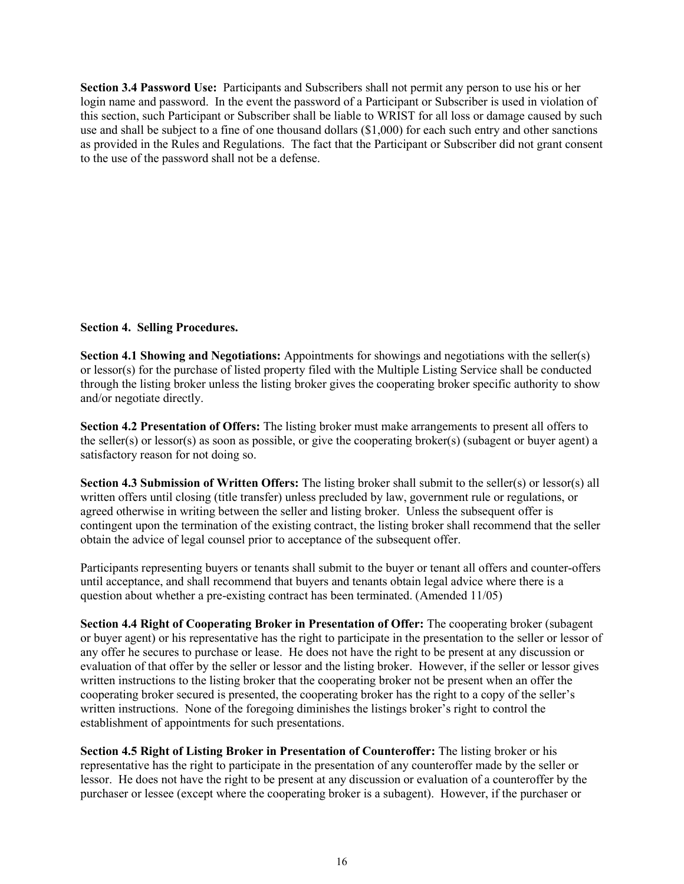**Section 3.4 Password Use:** Participants and Subscribers shall not permit any person to use his or her login name and password. In the event the password of a Participant or Subscriber is used in violation of this section, such Participant or Subscriber shall be liable to WRIST for all loss or damage caused by such use and shall be subject to a fine of one thousand dollars (\$1,000) for each such entry and other sanctions as provided in the Rules and Regulations. The fact that the Participant or Subscriber did not grant consent to the use of the password shall not be a defense.

# **Section 4. Selling Procedures.**

**Section 4.1 Showing and Negotiations:** Appointments for showings and negotiations with the seller(s) or lessor(s) for the purchase of listed property filed with the Multiple Listing Service shall be conducted through the listing broker unless the listing broker gives the cooperating broker specific authority to show and/or negotiate directly.

**Section 4.2 Presentation of Offers:** The listing broker must make arrangements to present all offers to the seller(s) or lessor(s) as soon as possible, or give the cooperating broker(s) (subagent or buyer agent) a satisfactory reason for not doing so.

**Section 4.3 Submission of Written Offers:** The listing broker shall submit to the seller(s) or lessor(s) all written offers until closing (title transfer) unless precluded by law, government rule or regulations, or agreed otherwise in writing between the seller and listing broker. Unless the subsequent offer is contingent upon the termination of the existing contract, the listing broker shall recommend that the seller obtain the advice of legal counsel prior to acceptance of the subsequent offer.

Participants representing buyers or tenants shall submit to the buyer or tenant all offers and counter-offers until acceptance, and shall recommend that buyers and tenants obtain legal advice where there is a question about whether a pre-existing contract has been terminated. (Amended 11/05)

**Section 4.4 Right of Cooperating Broker in Presentation of Offer:** The cooperating broker (subagent or buyer agent) or his representative has the right to participate in the presentation to the seller or lessor of any offer he secures to purchase or lease. He does not have the right to be present at any discussion or evaluation of that offer by the seller or lessor and the listing broker. However, if the seller or lessor gives written instructions to the listing broker that the cooperating broker not be present when an offer the cooperating broker secured is presented, the cooperating broker has the right to a copy of the seller's written instructions. None of the foregoing diminishes the listings broker's right to control the establishment of appointments for such presentations.

**Section 4.5 Right of Listing Broker in Presentation of Counteroffer:** The listing broker or his representative has the right to participate in the presentation of any counteroffer made by the seller or lessor. He does not have the right to be present at any discussion or evaluation of a counteroffer by the purchaser or lessee (except where the cooperating broker is a subagent). However, if the purchaser or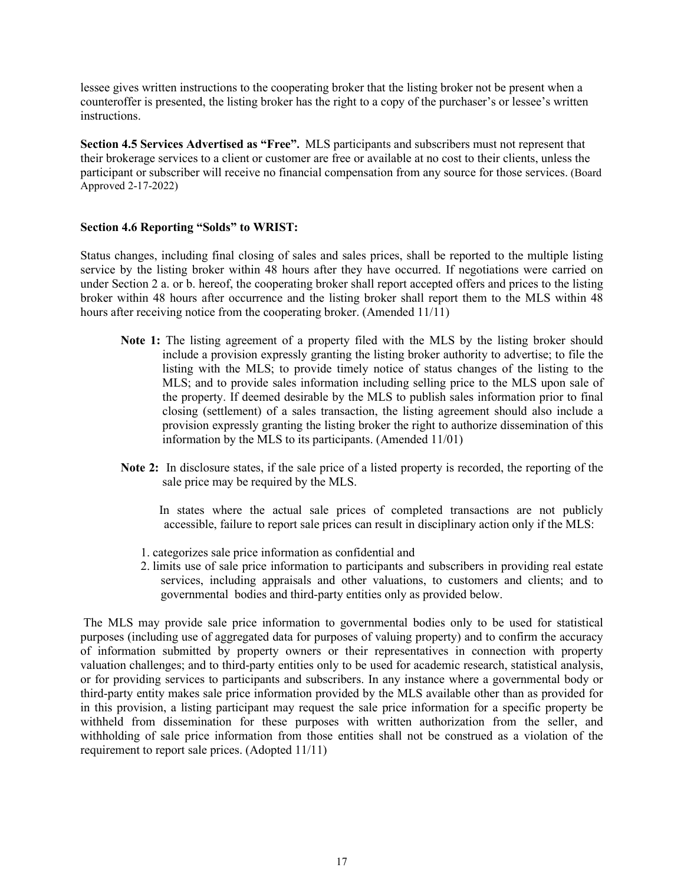lessee gives written instructions to the cooperating broker that the listing broker not be present when a counteroffer is presented, the listing broker has the right to a copy of the purchaser's or lessee's written instructions.

**Section 4.5 Services Advertised as "Free".** MLS participants and subscribers must not represent that their brokerage services to a client or customer are free or available at no cost to their clients, unless the participant or subscriber will receive no financial compensation from any source for those services. (Board Approved 2-17-2022)

# **Section 4.6 Reporting "Solds" to WRIST:**

Status changes, including final closing of sales and sales prices, shall be reported to the multiple listing service by the listing broker within 48 hours after they have occurred. If negotiations were carried on under Section 2 a. or b. hereof, the cooperating broker shall report accepted offers and prices to the listing broker within 48 hours after occurrence and the listing broker shall report them to the MLS within 48 hours after receiving notice from the cooperating broker. (Amended 11/11)

- **Note 1:** The listing agreement of a property filed with the MLS by the listing broker should include a provision expressly granting the listing broker authority to advertise; to file the listing with the MLS; to provide timely notice of status changes of the listing to the MLS; and to provide sales information including selling price to the MLS upon sale of the property. If deemed desirable by the MLS to publish sales information prior to final closing (settlement) of a sales transaction, the listing agreement should also include a provision expressly granting the listing broker the right to authorize dissemination of this information by the MLS to its participants. (Amended 11/01)
- **Note 2:** In disclosure states, if the sale price of a listed property is recorded, the reporting of the sale price may be required by the MLS.
	- In states where the actual sale prices of completed transactions are not publicly accessible, failure to report sale prices can result in disciplinary action only if the MLS:
	- 1. categorizes sale price information as confidential and
	- 2. limits use of sale price information to participants and subscribers in providing real estate services, including appraisals and other valuations, to customers and clients; and to governmental bodies and third-party entities only as provided below.

The MLS may provide sale price information to governmental bodies only to be used for statistical purposes (including use of aggregated data for purposes of valuing property) and to confirm the accuracy of information submitted by property owners or their representatives in connection with property valuation challenges; and to third-party entities only to be used for academic research, statistical analysis, or for providing services to participants and subscribers. In any instance where a governmental body or third-party entity makes sale price information provided by the MLS available other than as provided for in this provision, a listing participant may request the sale price information for a specific property be withheld from dissemination for these purposes with written authorization from the seller, and withholding of sale price information from those entities shall not be construed as a violation of the requirement to report sale prices. (Adopted 11/11)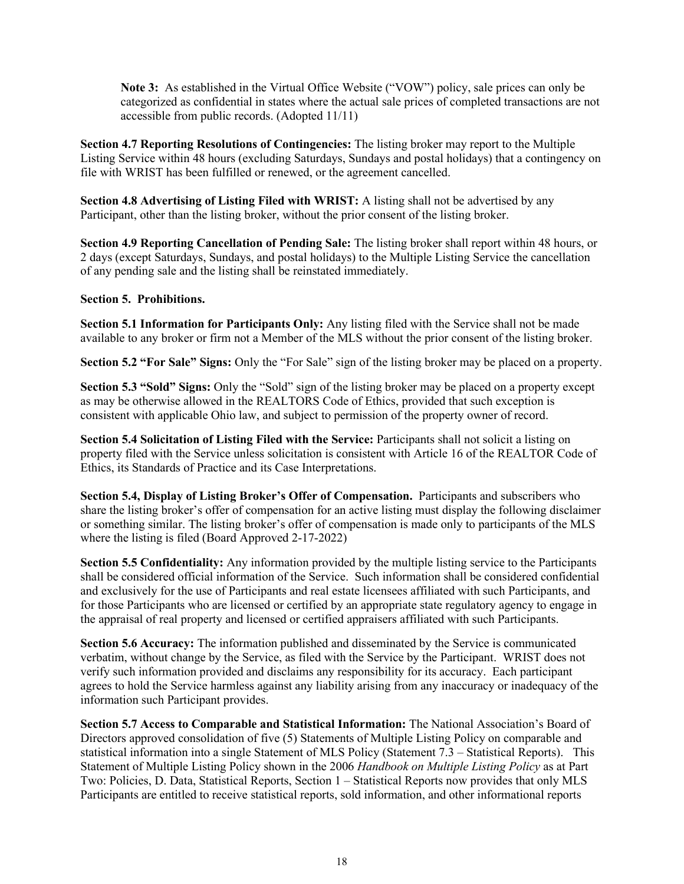**Note 3:** As established in the Virtual Office Website ("VOW") policy, sale prices can only be categorized as confidential in states where the actual sale prices of completed transactions are not accessible from public records. (Adopted 11/11)

**Section 4.7 Reporting Resolutions of Contingencies:** The listing broker may report to the Multiple Listing Service within 48 hours (excluding Saturdays, Sundays and postal holidays) that a contingency on file with WRIST has been fulfilled or renewed, or the agreement cancelled.

**Section 4.8 Advertising of Listing Filed with WRIST:** A listing shall not be advertised by any Participant, other than the listing broker, without the prior consent of the listing broker.

**Section 4.9 Reporting Cancellation of Pending Sale:** The listing broker shall report within 48 hours, or 2 days (except Saturdays, Sundays, and postal holidays) to the Multiple Listing Service the cancellation of any pending sale and the listing shall be reinstated immediately.

# **Section 5. Prohibitions.**

**Section 5.1 Information for Participants Only:** Any listing filed with the Service shall not be made available to any broker or firm not a Member of the MLS without the prior consent of the listing broker.

**Section 5.2 "For Sale" Signs:** Only the "For Sale" sign of the listing broker may be placed on a property.

**Section 5.3 "Sold" Signs:** Only the "Sold" sign of the listing broker may be placed on a property except as may be otherwise allowed in the REALTORS Code of Ethics, provided that such exception is consistent with applicable Ohio law, and subject to permission of the property owner of record.

**Section 5.4 Solicitation of Listing Filed with the Service:** Participants shall not solicit a listing on property filed with the Service unless solicitation is consistent with Article 16 of the REALTOR Code of Ethics, its Standards of Practice and its Case Interpretations.

**Section 5.4, Display of Listing Broker's Offer of Compensation.** Participants and subscribers who share the listing broker's offer of compensation for an active listing must display the following disclaimer or something similar. The listing broker's offer of compensation is made only to participants of the MLS where the listing is filed (Board Approved 2-17-2022)

**Section 5.5 Confidentiality:** Any information provided by the multiple listing service to the Participants shall be considered official information of the Service. Such information shall be considered confidential and exclusively for the use of Participants and real estate licensees affiliated with such Participants, and for those Participants who are licensed or certified by an appropriate state regulatory agency to engage in the appraisal of real property and licensed or certified appraisers affiliated with such Participants.

**Section 5.6 Accuracy:** The information published and disseminated by the Service is communicated verbatim, without change by the Service, as filed with the Service by the Participant. WRIST does not verify such information provided and disclaims any responsibility for its accuracy. Each participant agrees to hold the Service harmless against any liability arising from any inaccuracy or inadequacy of the information such Participant provides.

**Section 5.7 Access to Comparable and Statistical Information:** The National Association's Board of Directors approved consolidation of five (5) Statements of Multiple Listing Policy on comparable and statistical information into a single Statement of MLS Policy (Statement 7.3 – Statistical Reports). This Statement of Multiple Listing Policy shown in the 2006 *Handbook on Multiple Listing Policy* as at Part Two: Policies, D. Data, Statistical Reports, Section 1 – Statistical Reports now provides that only MLS Participants are entitled to receive statistical reports, sold information, and other informational reports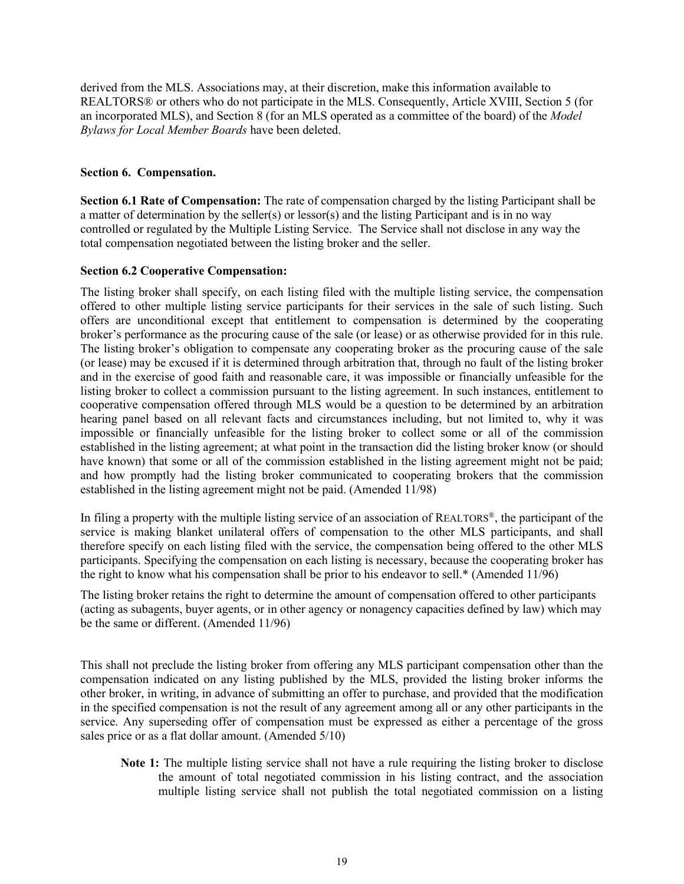derived from the MLS. Associations may, at their discretion, make this information available to REALTORS® or others who do not participate in the MLS. Consequently, Article XVIII, Section 5 (for an incorporated MLS), and Section 8 (for an MLS operated as a committee of the board) of the *Model Bylaws for Local Member Boards* have been deleted.

#### **Section 6. Compensation.**

**Section 6.1 Rate of Compensation:** The rate of compensation charged by the listing Participant shall be a matter of determination by the seller(s) or lessor(s) and the listing Participant and is in no way controlled or regulated by the Multiple Listing Service. The Service shall not disclose in any way the total compensation negotiated between the listing broker and the seller.

#### **Section 6.2 Cooperative Compensation:**

The listing broker shall specify, on each listing filed with the multiple listing service, the compensation offered to other multiple listing service participants for their services in the sale of such listing. Such offers are unconditional except that entitlement to compensation is determined by the cooperating broker's performance as the procuring cause of the sale (or lease) or as otherwise provided for in this rule. The listing broker's obligation to compensate any cooperating broker as the procuring cause of the sale (or lease) may be excused if it is determined through arbitration that, through no fault of the listing broker and in the exercise of good faith and reasonable care, it was impossible or financially unfeasible for the listing broker to collect a commission pursuant to the listing agreement. In such instances, entitlement to cooperative compensation offered through MLS would be a question to be determined by an arbitration hearing panel based on all relevant facts and circumstances including, but not limited to, why it was impossible or financially unfeasible for the listing broker to collect some or all of the commission established in the listing agreement; at what point in the transaction did the listing broker know (or should have known) that some or all of the commission established in the listing agreement might not be paid; and how promptly had the listing broker communicated to cooperating brokers that the commission established in the listing agreement might not be paid. (Amended 11/98)

In filing a property with the multiple listing service of an association of REALTORS®, the participant of the service is making blanket unilateral offers of compensation to the other MLS participants, and shall therefore specify on each listing filed with the service, the compensation being offered to the other MLS participants. Specifying the compensation on each listing is necessary, because the cooperating broker has the right to know what his compensation shall be prior to his endeavor to sell.\* (Amended 11/96)

The listing broker retains the right to determine the amount of compensation offered to other participants (acting as subagents, buyer agents, or in other agency or nonagency capacities defined by law) which may be the same or different. (Amended 11/96)

This shall not preclude the listing broker from offering any MLS participant compensation other than the compensation indicated on any listing published by the MLS, provided the listing broker informs the other broker, in writing, in advance of submitting an offer to purchase, and provided that the modification in the specified compensation is not the result of any agreement among all or any other participants in the service. Any superseding offer of compensation must be expressed as either a percentage of the gross sales price or as a flat dollar amount. (Amended 5/10)

**Note 1:** The multiple listing service shall not have a rule requiring the listing broker to disclose the amount of total negotiated commission in his listing contract, and the association multiple listing service shall not publish the total negotiated commission on a listing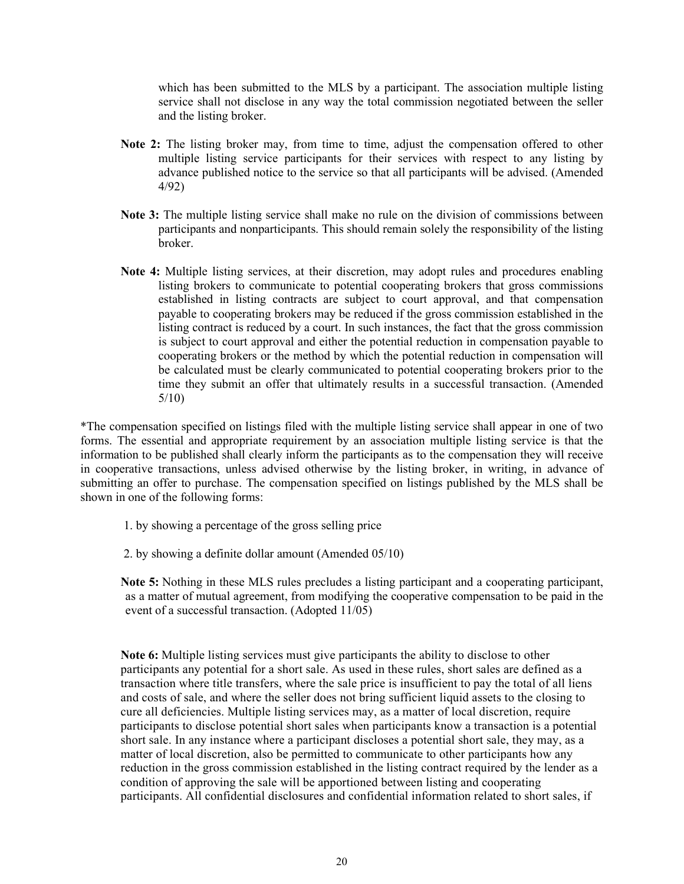which has been submitted to the MLS by a participant. The association multiple listing service shall not disclose in any way the total commission negotiated between the seller and the listing broker.

- **Note 2:** The listing broker may, from time to time, adjust the compensation offered to other multiple listing service participants for their services with respect to any listing by advance published notice to the service so that all participants will be advised. (Amended 4/92)
- **Note 3:** The multiple listing service shall make no rule on the division of commissions between participants and nonparticipants. This should remain solely the responsibility of the listing broker.
- **Note 4:** Multiple listing services, at their discretion, may adopt rules and procedures enabling listing brokers to communicate to potential cooperating brokers that gross commissions established in listing contracts are subject to court approval, and that compensation payable to cooperating brokers may be reduced if the gross commission established in the listing contract is reduced by a court. In such instances, the fact that the gross commission is subject to court approval and either the potential reduction in compensation payable to cooperating brokers or the method by which the potential reduction in compensation will be calculated must be clearly communicated to potential cooperating brokers prior to the time they submit an offer that ultimately results in a successful transaction. (Amended 5/10)

\*The compensation specified on listings filed with the multiple listing service shall appear in one of two forms. The essential and appropriate requirement by an association multiple listing service is that the information to be published shall clearly inform the participants as to the compensation they will receive in cooperative transactions, unless advised otherwise by the listing broker, in writing, in advance of submitting an offer to purchase. The compensation specified on listings published by the MLS shall be shown in one of the following forms:

- 1. by showing a percentage of the gross selling price
- 2. by showing a definite dollar amount (Amended 05/10)

**Note 5:** Nothing in these MLS rules precludes a listing participant and a cooperating participant, as a matter of mutual agreement, from modifying the cooperative compensation to be paid in the event of a successful transaction. (Adopted 11/05)

**Note 6:** Multiple listing services must give participants the ability to disclose to other participants any potential for a short sale. As used in these rules, short sales are defined as a transaction where title transfers, where the sale price is insufficient to pay the total of all liens and costs of sale, and where the seller does not bring sufficient liquid assets to the closing to cure all deficiencies. Multiple listing services may, as a matter of local discretion, require participants to disclose potential short sales when participants know a transaction is a potential short sale. In any instance where a participant discloses a potential short sale, they may, as a matter of local discretion, also be permitted to communicate to other participants how any reduction in the gross commission established in the listing contract required by the lender as a condition of approving the sale will be apportioned between listing and cooperating participants. All confidential disclosures and confidential information related to short sales, if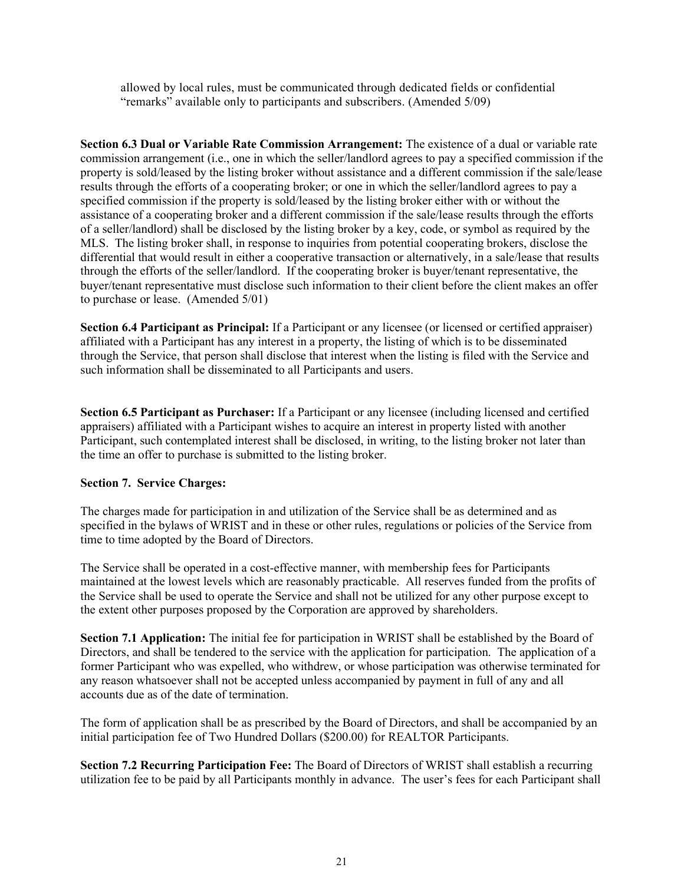allowed by local rules, must be communicated through dedicated fields or confidential "remarks" available only to participants and subscribers. (Amended 5/09)

**Section 6.3 Dual or Variable Rate Commission Arrangement:** The existence of a dual or variable rate commission arrangement (i.e., one in which the seller/landlord agrees to pay a specified commission if the property is sold/leased by the listing broker without assistance and a different commission if the sale/lease results through the efforts of a cooperating broker; or one in which the seller/landlord agrees to pay a specified commission if the property is sold/leased by the listing broker either with or without the assistance of a cooperating broker and a different commission if the sale/lease results through the efforts of a seller/landlord) shall be disclosed by the listing broker by a key, code, or symbol as required by the MLS. The listing broker shall, in response to inquiries from potential cooperating brokers, disclose the differential that would result in either a cooperative transaction or alternatively, in a sale/lease that results through the efforts of the seller/landlord. If the cooperating broker is buyer/tenant representative, the buyer/tenant representative must disclose such information to their client before the client makes an offer to purchase or lease. (Amended 5/01)

**Section 6.4 Participant as Principal:** If a Participant or any licensee (or licensed or certified appraiser) affiliated with a Participant has any interest in a property, the listing of which is to be disseminated through the Service, that person shall disclose that interest when the listing is filed with the Service and such information shall be disseminated to all Participants and users.

**Section 6.5 Participant as Purchaser:** If a Participant or any licensee (including licensed and certified appraisers) affiliated with a Participant wishes to acquire an interest in property listed with another Participant, such contemplated interest shall be disclosed, in writing, to the listing broker not later than the time an offer to purchase is submitted to the listing broker.

# **Section 7. Service Charges:**

The charges made for participation in and utilization of the Service shall be as determined and as specified in the bylaws of WRIST and in these or other rules, regulations or policies of the Service from time to time adopted by the Board of Directors.

The Service shall be operated in a cost-effective manner, with membership fees for Participants maintained at the lowest levels which are reasonably practicable. All reserves funded from the profits of the Service shall be used to operate the Service and shall not be utilized for any other purpose except to the extent other purposes proposed by the Corporation are approved by shareholders.

Section 7.1 Application: The initial fee for participation in WRIST shall be established by the Board of Directors, and shall be tendered to the service with the application for participation. The application of a former Participant who was expelled, who withdrew, or whose participation was otherwise terminated for any reason whatsoever shall not be accepted unless accompanied by payment in full of any and all accounts due as of the date of termination.

The form of application shall be as prescribed by the Board of Directors, and shall be accompanied by an initial participation fee of Two Hundred Dollars (\$200.00) for REALTOR Participants.

**Section 7.2 Recurring Participation Fee:** The Board of Directors of WRIST shall establish a recurring utilization fee to be paid by all Participants monthly in advance. The user's fees for each Participant shall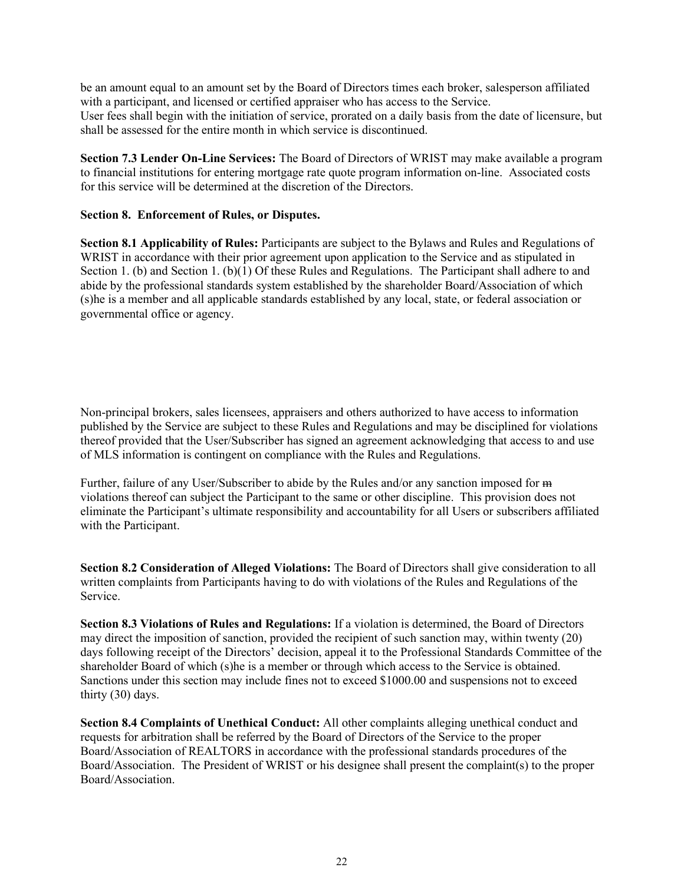be an amount equal to an amount set by the Board of Directors times each broker, salesperson affiliated with a participant, and licensed or certified appraiser who has access to the Service. User fees shall begin with the initiation of service, prorated on a daily basis from the date of licensure, but shall be assessed for the entire month in which service is discontinued.

**Section 7.3 Lender On-Line Services:** The Board of Directors of WRIST may make available a program to financial institutions for entering mortgage rate quote program information on-line. Associated costs for this service will be determined at the discretion of the Directors.

# **Section 8. Enforcement of Rules, or Disputes.**

**Section 8.1 Applicability of Rules:** Participants are subject to the Bylaws and Rules and Regulations of WRIST in accordance with their prior agreement upon application to the Service and as stipulated in Section 1. (b) and Section 1. (b)(1) Of these Rules and Regulations. The Participant shall adhere to and abide by the professional standards system established by the shareholder Board/Association of which (s)he is a member and all applicable standards established by any local, state, or federal association or governmental office or agency.

Non-principal brokers, sales licensees, appraisers and others authorized to have access to information published by the Service are subject to these Rules and Regulations and may be disciplined for violations thereof provided that the User/Subscriber has signed an agreement acknowledging that access to and use of MLS information is contingent on compliance with the Rules and Regulations.

Further, failure of any User/Subscriber to abide by the Rules and/or any sanction imposed for  $\overline{m}$ violations thereof can subject the Participant to the same or other discipline. This provision does not eliminate the Participant's ultimate responsibility and accountability for all Users or subscribers affiliated with the Participant.

**Section 8.2 Consideration of Alleged Violations:** The Board of Directors shall give consideration to all written complaints from Participants having to do with violations of the Rules and Regulations of the Service.

**Section 8.3 Violations of Rules and Regulations:** If a violation is determined, the Board of Directors may direct the imposition of sanction, provided the recipient of such sanction may, within twenty (20) days following receipt of the Directors' decision, appeal it to the Professional Standards Committee of the shareholder Board of which (s)he is a member or through which access to the Service is obtained. Sanctions under this section may include fines not to exceed \$1000.00 and suspensions not to exceed thirty (30) days.

**Section 8.4 Complaints of Unethical Conduct:** All other complaints alleging unethical conduct and requests for arbitration shall be referred by the Board of Directors of the Service to the proper Board/Association of REALTORS in accordance with the professional standards procedures of the Board/Association. The President of WRIST or his designee shall present the complaint(s) to the proper Board/Association.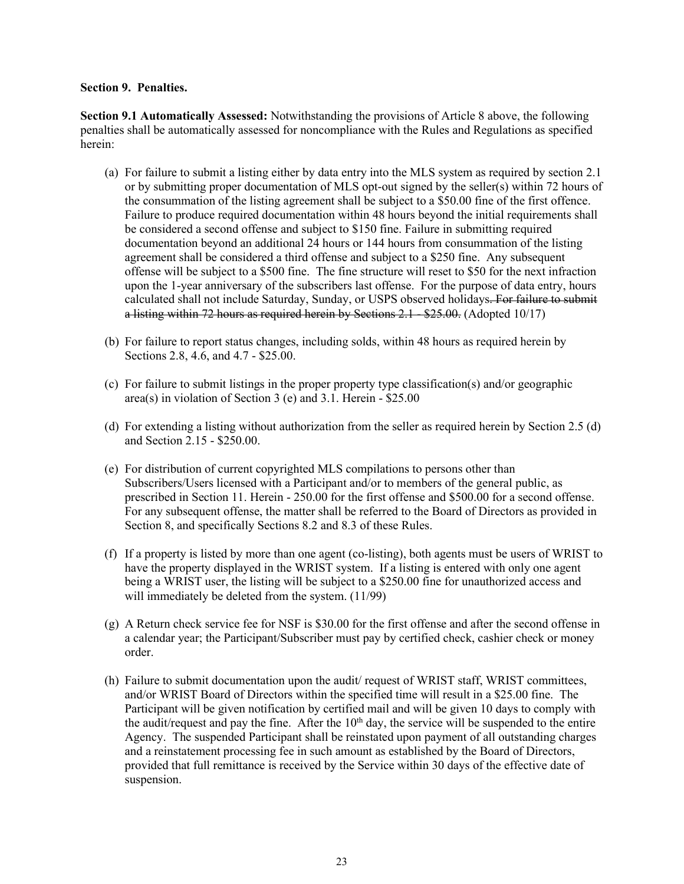#### **Section 9. Penalties.**

**Section 9.1 Automatically Assessed:** Notwithstanding the provisions of Article 8 above, the following penalties shall be automatically assessed for noncompliance with the Rules and Regulations as specified herein:

- (a) For failure to submit a listing either by data entry into the MLS system as required by section 2.1 or by submitting proper documentation of MLS opt-out signed by the seller(s) within 72 hours of the consummation of the listing agreement shall be subject to a \$50.00 fine of the first offence. Failure to produce required documentation within 48 hours beyond the initial requirements shall be considered a second offense and subject to \$150 fine. Failure in submitting required documentation beyond an additional 24 hours or 144 hours from consummation of the listing agreement shall be considered a third offense and subject to a \$250 fine. Any subsequent offense will be subject to a \$500 fine. The fine structure will reset to \$50 for the next infraction upon the 1-year anniversary of the subscribers last offense. For the purpose of data entry, hours calculated shall not include Saturday, Sunday, or USPS observed holidays. For failure to submit a listing within 72 hours as required herein by Sections 2.1 - \$25.00. (Adopted 10/17)
- (b) For failure to report status changes, including solds, within 48 hours as required herein by Sections 2.8, 4.6, and 4.7 - \$25.00.
- (c) For failure to submit listings in the proper property type classification(s) and/or geographic area(s) in violation of Section 3 (e) and 3.1. Herein - \$25.00
- (d) For extending a listing without authorization from the seller as required herein by Section 2.5 (d) and Section 2.15 - \$250.00.
- (e) For distribution of current copyrighted MLS compilations to persons other than Subscribers/Users licensed with a Participant and/or to members of the general public, as prescribed in Section 11. Herein - 250.00 for the first offense and \$500.00 for a second offense. For any subsequent offense, the matter shall be referred to the Board of Directors as provided in Section 8, and specifically Sections 8.2 and 8.3 of these Rules.
- (f) If a property is listed by more than one agent (co-listing), both agents must be users of WRIST to have the property displayed in the WRIST system. If a listing is entered with only one agent being a WRIST user, the listing will be subject to a \$250.00 fine for unauthorized access and will immediately be deleted from the system. (11/99)
- (g) A Return check service fee for NSF is \$30.00 for the first offense and after the second offense in a calendar year; the Participant/Subscriber must pay by certified check, cashier check or money order.
- (h) Failure to submit documentation upon the audit/ request of WRIST staff, WRIST committees, and/or WRIST Board of Directors within the specified time will result in a \$25.00 fine. The Participant will be given notification by certified mail and will be given 10 days to comply with the audit/request and pay the fine. After the  $10<sup>th</sup>$  day, the service will be suspended to the entire Agency. The suspended Participant shall be reinstated upon payment of all outstanding charges and a reinstatement processing fee in such amount as established by the Board of Directors, provided that full remittance is received by the Service within 30 days of the effective date of suspension.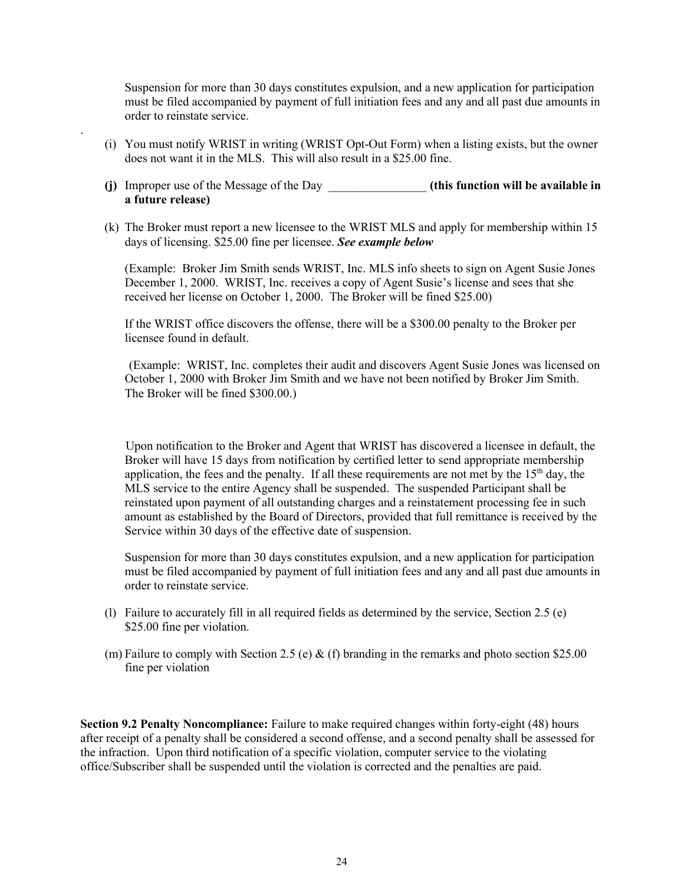Suspension for more than 30 days constitutes expulsion, and a new application for participation must be filed accompanied by payment of full initiation fees and any and all past due amounts in order to reinstate service.

(i) You must notify WRIST in writing (WRIST Opt-Out Form) when a listing exists, but the owner does not want it in the MLS. This will also result in a \$25.00 fine.

.

- **(j)** Improper use of the Message of the Day \_\_\_\_\_\_\_\_\_\_\_\_\_\_\_\_ **(this function will be available in a future release)**
- (k) The Broker must report a new licensee to the WRIST MLS and apply for membership within 15 days of licensing. \$25.00 fine per licensee. *See example below*

(Example: Broker Jim Smith sends WRIST, Inc. MLS info sheets to sign on Agent Susie Jones December 1, 2000. WRIST, Inc. receives a copy of Agent Susie's license and sees that she received her license on October 1, 2000. The Broker will be fined \$25.00)

If the WRIST office discovers the offense, there will be a \$300.00 penalty to the Broker per licensee found in default.

(Example: WRIST, Inc. completes their audit and discovers Agent Susie Jones was licensed on October 1, 2000 with Broker Jim Smith and we have not been notified by Broker Jim Smith. The Broker will be fined \$300.00.)

Upon notification to the Broker and Agent that WRIST has discovered a licensee in default, the Broker will have 15 days from notification by certified letter to send appropriate membership application, the fees and the penalty. If all these requirements are not met by the  $15<sup>th</sup>$  day, the MLS service to the entire Agency shall be suspended. The suspended Participant shall be reinstated upon payment of all outstanding charges and a reinstatement processing fee in such amount as established by the Board of Directors, provided that full remittance is received by the Service within 30 days of the effective date of suspension.

Suspension for more than 30 days constitutes expulsion, and a new application for participation must be filed accompanied by payment of full initiation fees and any and all past due amounts in order to reinstate service.

- (l) Failure to accurately fill in all required fields as determined by the service, Section 2.5 (e) \$25.00 fine per violation.
- (m) Failure to comply with Section 2.5 (e)  $\&$  (f) branding in the remarks and photo section \$25.00 fine per violation

**Section 9.2 Penalty Noncompliance:** Failure to make required changes within forty-eight (48) hours after receipt of a penalty shall be considered a second offense, and a second penalty shall be assessed for the infraction. Upon third notification of a specific violation, computer service to the violating office/Subscriber shall be suspended until the violation is corrected and the penalties are paid.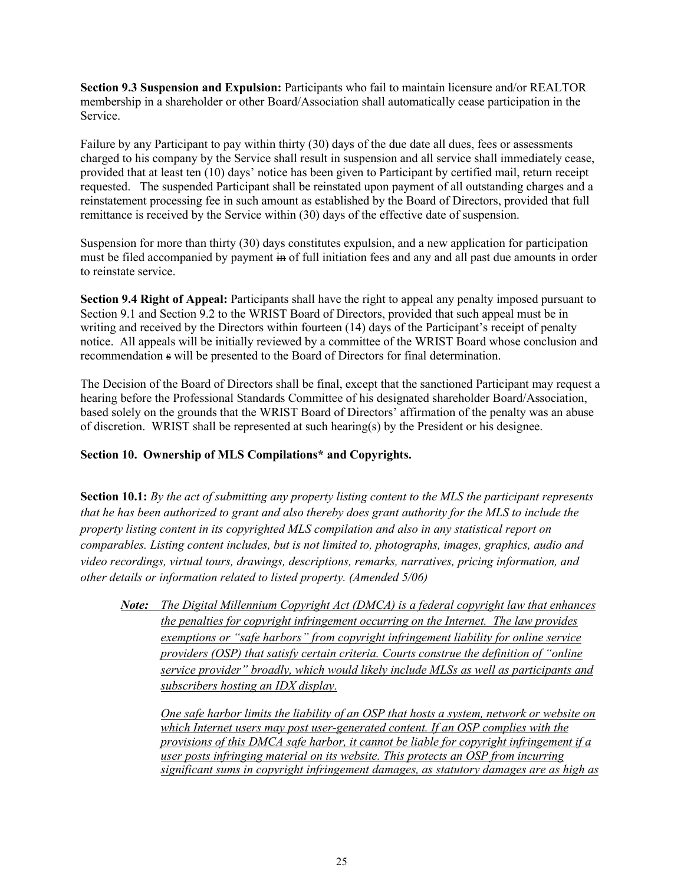**Section 9.3 Suspension and Expulsion:** Participants who fail to maintain licensure and/or REALTOR membership in a shareholder or other Board/Association shall automatically cease participation in the Service.

Failure by any Participant to pay within thirty (30) days of the due date all dues, fees or assessments charged to his company by the Service shall result in suspension and all service shall immediately cease, provided that at least ten (10) days' notice has been given to Participant by certified mail, return receipt requested. The suspended Participant shall be reinstated upon payment of all outstanding charges and a reinstatement processing fee in such amount as established by the Board of Directors, provided that full remittance is received by the Service within (30) days of the effective date of suspension.

Suspension for more than thirty (30) days constitutes expulsion, and a new application for participation must be filed accompanied by payment in of full initiation fees and any and all past due amounts in order to reinstate service.

**Section 9.4 Right of Appeal:** Participants shall have the right to appeal any penalty imposed pursuant to Section 9.1 and Section 9.2 to the WRIST Board of Directors, provided that such appeal must be in writing and received by the Directors within fourteen (14) days of the Participant's receipt of penalty notice. All appeals will be initially reviewed by a committee of the WRIST Board whose conclusion and recommendation s will be presented to the Board of Directors for final determination.

The Decision of the Board of Directors shall be final, except that the sanctioned Participant may request a hearing before the Professional Standards Committee of his designated shareholder Board/Association, based solely on the grounds that the WRIST Board of Directors' affirmation of the penalty was an abuse of discretion. WRIST shall be represented at such hearing(s) by the President or his designee.

# **Section 10. Ownership of MLS Compilations\* and Copyrights.**

**Section 10.1:** *By the act of submitting any property listing content to the MLS the participant represents that he has been authorized to grant and also thereby does grant authority for the MLS to include the property listing content in its copyrighted MLS compilation and also in any statistical report on comparables. Listing content includes, but is not limited to, photographs, images, graphics, audio and video recordings, virtual tours, drawings, descriptions, remarks, narratives, pricing information, and other details or information related to listed property. (Amended 5/06)* 

*Note: The Digital Millennium Copyright Act (DMCA) is a federal copyright law that enhances the penalties for copyright infringement occurring on the Internet. The law provides exemptions or "safe harbors" from copyright infringement liability for online service providers (OSP) that satisfy certain criteria. Courts construe the definition of "online service provider" broadly, which would likely include MLSs as well as participants and subscribers hosting an IDX display.* 

*One safe harbor limits the liability of an OSP that hosts a system, network or website on which Internet users may post user-generated content. If an OSP complies with the provisions of this DMCA safe harbor, it cannot be liable for copyright infringement if a user posts infringing material on its website. This protects an OSP from incurring significant sums in copyright infringement damages, as statutory damages are as high as*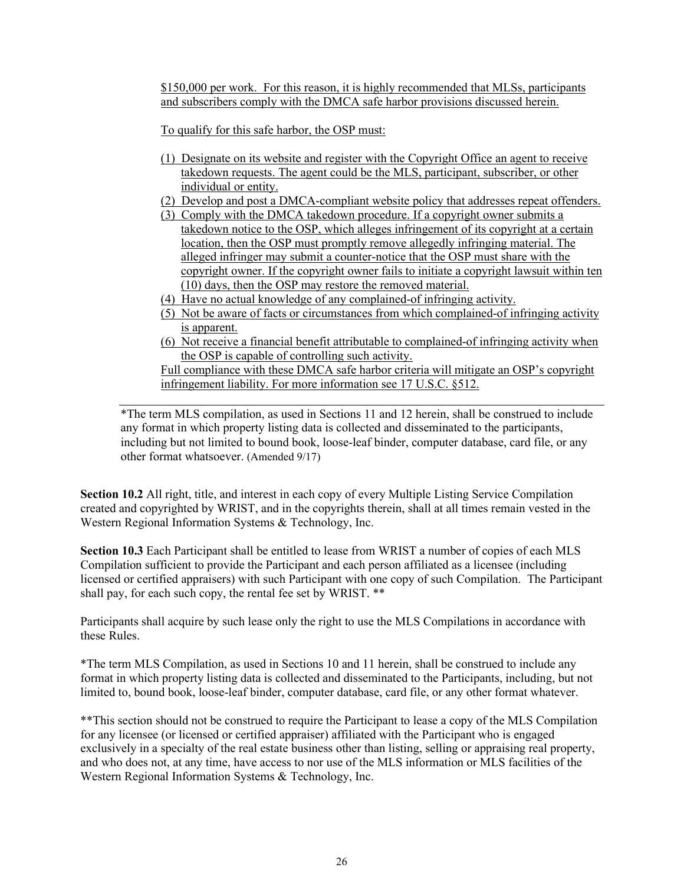\$150,000 per work. For this reason, it is highly recommended that MLSs, participants and subscribers comply with the DMCA safe harbor provisions discussed herein.

To qualify for this safe harbor, the OSP must:

- (1) Designate on its website and register with the Copyright Office an agent to receive takedown requests. The agent could be the MLS, participant, subscriber, or other individual or entity.
- (2) Develop and post a DMCA-compliant website policy that addresses repeat offenders.
- (3) Comply with the DMCA takedown procedure. If a copyright owner submits a takedown notice to the OSP, which alleges infringement of its copyright at a certain location, then the OSP must promptly remove allegedly infringing material. The alleged infringer may submit a counter-notice that the OSP must share with the copyright owner. If the copyright owner fails to initiate a copyright lawsuit within ten (10) days, then the OSP may restore the removed material.
- (4) Have no actual knowledge of any complained-of infringing activity.
- (5) Not be aware of facts or circumstances from which complained-of infringing activity is apparent.
- (6) Not receive a financial benefit attributable to complained-of infringing activity when the OSP is capable of controlling such activity.

Full compliance with these DMCA safe harbor criteria will mitigate an OSP's copyright infringement liability. For more information see [17 U.S.C. §512.](https://www.law.cornell.edu/uscode/text/17/512)

\*The term MLS compilation, as used in Sections 11 and 12 herein, shall be construed to include any format in which property listing data is collected and disseminated to the participants, including but not limited to bound book, loose-leaf binder, computer database, card file, or any other format whatsoever. (Amended 9/17)

**Section 10.2** All right, title, and interest in each copy of every Multiple Listing Service Compilation created and copyrighted by WRIST, and in the copyrights therein, shall at all times remain vested in the Western Regional Information Systems & Technology, Inc.

**Section 10.3** Each Participant shall be entitled to lease from WRIST a number of copies of each MLS Compilation sufficient to provide the Participant and each person affiliated as a licensee (including licensed or certified appraisers) with such Participant with one copy of such Compilation. The Participant shall pay, for each such copy, the rental fee set by WRIST. \*\*

Participants shall acquire by such lease only the right to use the MLS Compilations in accordance with these Rules.

\*The term MLS Compilation, as used in Sections 10 and 11 herein, shall be construed to include any format in which property listing data is collected and disseminated to the Participants, including, but not limited to, bound book, loose-leaf binder, computer database, card file, or any other format whatever.

\*\*This section should not be construed to require the Participant to lease a copy of the MLS Compilation for any licensee (or licensed or certified appraiser) affiliated with the Participant who is engaged exclusively in a specialty of the real estate business other than listing, selling or appraising real property, and who does not, at any time, have access to nor use of the MLS information or MLS facilities of the Western Regional Information Systems & Technology, Inc.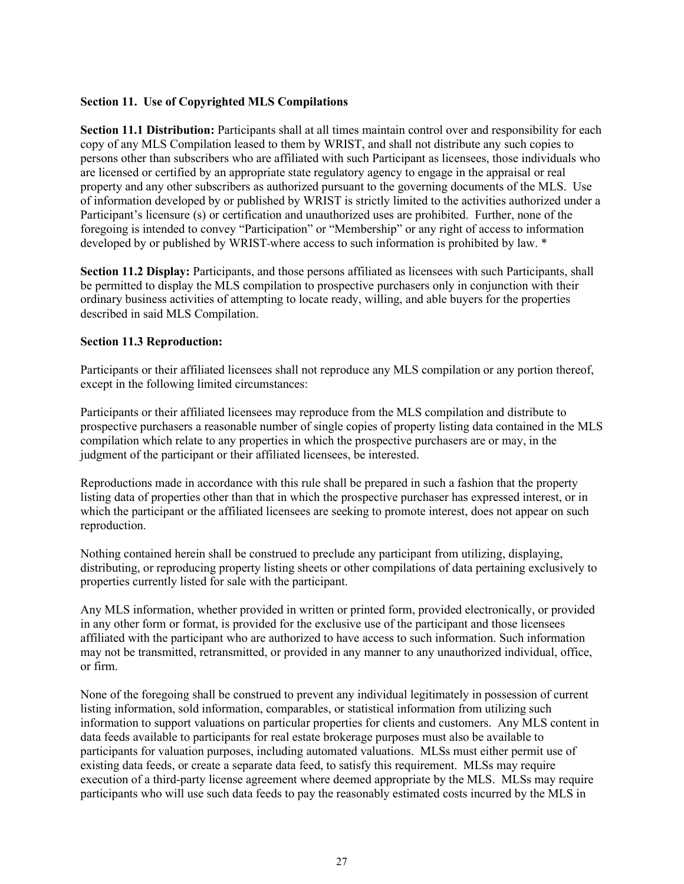# **Section 11. Use of Copyrighted MLS Compilations**

**Section 11.1 Distribution:** Participants shall at all times maintain control over and responsibility for each copy of any MLS Compilation leased to them by WRIST, and shall not distribute any such copies to persons other than subscribers who are affiliated with such Participant as licensees, those individuals who are licensed or certified by an appropriate state regulatory agency to engage in the appraisal or real property and any other subscribers as authorized pursuant to the governing documents of the MLS. Use of information developed by or published by WRIST is strictly limited to the activities authorized under a Participant's licensure (s) or certification and unauthorized uses are prohibited. Further, none of the foregoing is intended to convey "Participation" or "Membership" or any right of access to information developed by or published by WRIST-where access to such information is prohibited by law. \*

**Section 11.2 Display:** Participants, and those persons affiliated as licensees with such Participants, shall be permitted to display the MLS compilation to prospective purchasers only in conjunction with their ordinary business activities of attempting to locate ready, willing, and able buyers for the properties described in said MLS Compilation.

# **Section 11.3 Reproduction:**

Participants or their affiliated licensees shall not reproduce any MLS compilation or any portion thereof, except in the following limited circumstances:

Participants or their affiliated licensees may reproduce from the MLS compilation and distribute to prospective purchasers a reasonable number of single copies of property listing data contained in the MLS compilation which relate to any properties in which the prospective purchasers are or may, in the judgment of the participant or their affiliated licensees, be interested.

Reproductions made in accordance with this rule shall be prepared in such a fashion that the property listing data of properties other than that in which the prospective purchaser has expressed interest, or in which the participant or the affiliated licensees are seeking to promote interest, does not appear on such reproduction.

Nothing contained herein shall be construed to preclude any participant from utilizing, displaying, distributing, or reproducing property listing sheets or other compilations of data pertaining exclusively to properties currently listed for sale with the participant.

Any MLS information, whether provided in written or printed form, provided electronically, or provided in any other form or format, is provided for the exclusive use of the participant and those licensees affiliated with the participant who are authorized to have access to such information. Such information may not be transmitted, retransmitted, or provided in any manner to any unauthorized individual, office, or firm.

None of the foregoing shall be construed to prevent any individual legitimately in possession of current listing information, sold information, comparables, or statistical information from utilizing such information to support valuations on particular properties for clients and customers. Any MLS content in data feeds available to participants for real estate brokerage purposes must also be available to participants for valuation purposes, including automated valuations. MLSs must either permit use of existing data feeds, or create a separate data feed, to satisfy this requirement. MLSs may require execution of a third-party license agreement where deemed appropriate by the MLS. MLSs may require participants who will use such data feeds to pay the reasonably estimated costs incurred by the MLS in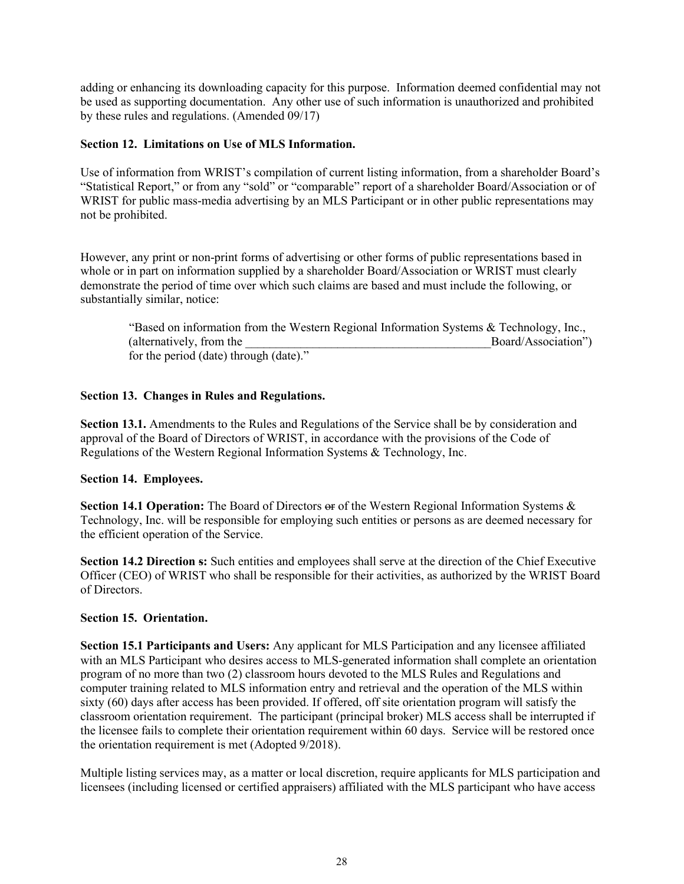adding or enhancing its downloading capacity for this purpose. Information deemed confidential may not be used as supporting documentation. Any other use of such information is unauthorized and prohibited by these rules and regulations. (Amended 09/17)

# **Section 12. Limitations on Use of MLS Information.**

Use of information from WRIST's compilation of current listing information, from a shareholder Board's "Statistical Report," or from any "sold" or "comparable" report of a shareholder Board/Association or of WRIST for public mass-media advertising by an MLS Participant or in other public representations may not be prohibited.

However, any print or non-print forms of advertising or other forms of public representations based in whole or in part on information supplied by a shareholder Board/Association or WRIST must clearly demonstrate the period of time over which such claims are based and must include the following, or substantially similar, notice:

"Based on information from the Western Regional Information Systems & Technology, Inc., (alternatively, from the the contraction of the contraction of the Board/Association") for the period (date) through (date)."

# **Section 13. Changes in Rules and Regulations.**

**Section 13.1.** Amendments to the Rules and Regulations of the Service shall be by consideration and approval of the Board of Directors of WRIST, in accordance with the provisions of the Code of Regulations of the Western Regional Information Systems & Technology, Inc.

# **Section 14. Employees.**

**Section 14.1 Operation:** The Board of Directors  $\Theta$  of the Western Regional Information Systems & Technology, Inc. will be responsible for employing such entities or persons as are deemed necessary for the efficient operation of the Service.

**Section 14.2 Direction s:** Such entities and employees shall serve at the direction of the Chief Executive Officer (CEO) of WRIST who shall be responsible for their activities, as authorized by the WRIST Board of Directors.

# **Section 15. Orientation.**

**Section 15.1 Participants and Users:** Any applicant for MLS Participation and any licensee affiliated with an MLS Participant who desires access to MLS-generated information shall complete an orientation program of no more than two (2) classroom hours devoted to the MLS Rules and Regulations and computer training related to MLS information entry and retrieval and the operation of the MLS within sixty (60) days after access has been provided. If offered, off site orientation program will satisfy the classroom orientation requirement. The participant (principal broker) MLS access shall be interrupted if the licensee fails to complete their orientation requirement within 60 days. Service will be restored once the orientation requirement is met (Adopted 9/2018).

Multiple listing services may, as a matter or local discretion, require applicants for MLS participation and licensees (including licensed or certified appraisers) affiliated with the MLS participant who have access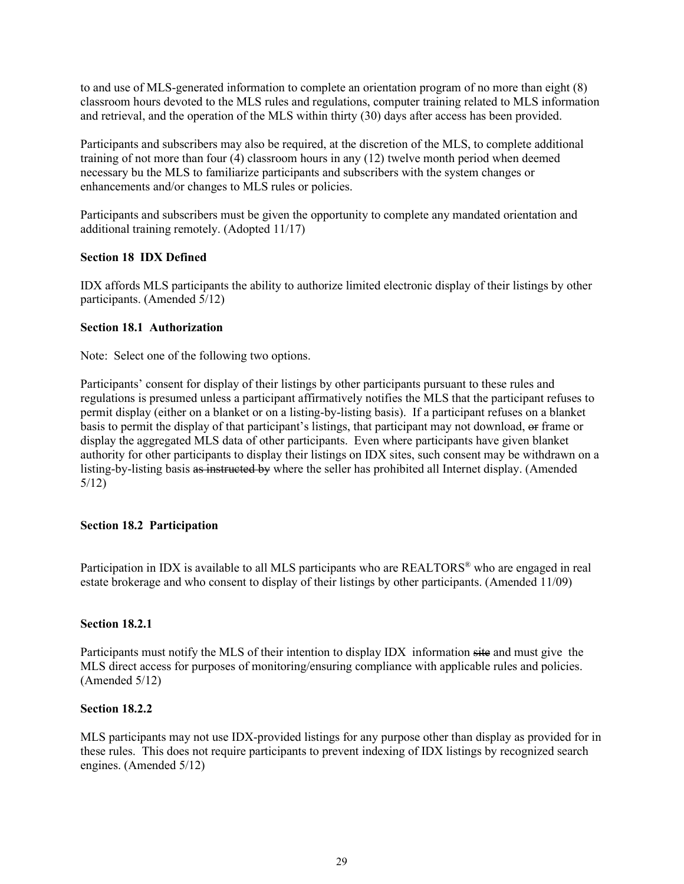to and use of MLS-generated information to complete an orientation program of no more than eight (8) classroom hours devoted to the MLS rules and regulations, computer training related to MLS information and retrieval, and the operation of the MLS within thirty (30) days after access has been provided.

Participants and subscribers may also be required, at the discretion of the MLS, to complete additional training of not more than four (4) classroom hours in any (12) twelve month period when deemed necessary bu the MLS to familiarize participants and subscribers with the system changes or enhancements and/or changes to MLS rules or policies.

Participants and subscribers must be given the opportunity to complete any mandated orientation and additional training remotely. (Adopted 11/17)

# **Section 18 IDX Defined**

IDX affords MLS participants the ability to authorize limited electronic display of their listings by other participants. (Amended 5/12)

# **Section 18.1 Authorization**

Note: Select one of the following two options.

Participants' consent for display of their listings by other participants pursuant to these rules and regulations is presumed unless a participant affirmatively notifies the MLS that the participant refuses to permit display (either on a blanket or on a listing-by-listing basis). If a participant refuses on a blanket basis to permit the display of that participant's listings, that participant may not download, or frame or display the aggregated MLS data of other participants. Even where participants have given blanket authority for other participants to display their listings on IDX sites, such consent may be withdrawn on a listing-by-listing basis as instructed by where the seller has prohibited all Internet display. (Amended 5/12)

# **Section 18.2 Participation**

Participation in IDX is available to all MLS participants who are REALTORS® who are engaged in real estate brokerage and who consent to display of their listings by other participants. (Amended 11/09)

# **Section 18.2.1**

Participants must notify the MLS of their intention to display IDX information site and must give the MLS direct access for purposes of monitoring/ensuring compliance with applicable rules and policies. (Amended 5/12)

# **Section 18.2.2**

MLS participants may not use IDX-provided listings for any purpose other than display as provided for in these rules. This does not require participants to prevent indexing of IDX listings by recognized search engines. (Amended 5/12)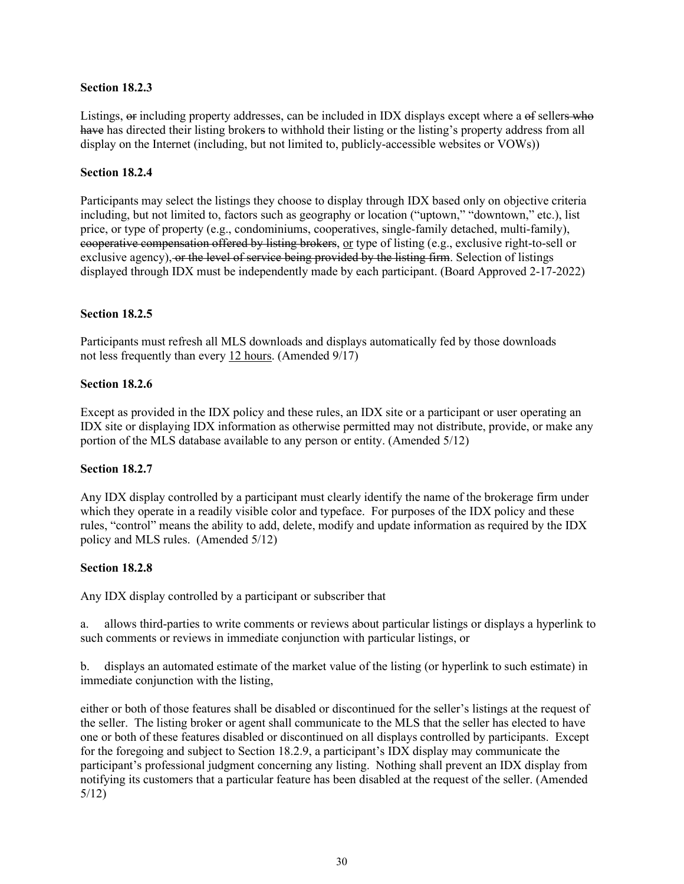# **Section 18.2.3**

Listings,  $\Theta$  including property addresses, can be included in IDX displays except where a  $\Theta$  sellers who have has directed their listing brokers to withhold their listing or the listing's property address from all display on the Internet (including, but not limited to, publicly-accessible websites or VOWs))

#### **Section 18.2.4**

Participants may select the listings they choose to display through IDX based only on objective criteria including, but not limited to, factors such as geography or location ("uptown," "downtown," etc.), list price, or type of property (e.g., condominiums, cooperatives, single-family detached, multi-family), cooperative compensation offered by listing brokers, or type of listing (e.g., exclusive right-to-sell or exclusive agency), or the level of service being provided by the listing firm. Selection of listings displayed through IDX must be independently made by each participant. (Board Approved 2-17-2022)

# **Section 18.2.5**

Participants must refresh all MLS downloads and displays automatically fed by those downloads not less frequently than every 12 hours. (Amended 9/17)

#### **Section 18.2.6**

Except as provided in the IDX policy and these rules, an IDX site or a participant or user operating an IDX site or displaying IDX information as otherwise permitted may not distribute, provide, or make any portion of the MLS database available to any person or entity. (Amended 5/12)

#### **Section 18.2.7**

Any IDX display controlled by a participant must clearly identify the name of the brokerage firm under which they operate in a readily visible color and typeface. For purposes of the IDX policy and these rules, "control" means the ability to add, delete, modify and update information as required by the IDX policy and MLS rules. (Amended 5/12)

# **Section 18.2.8**

Any IDX display controlled by a participant or subscriber that

a. allows third-parties to write comments or reviews about particular listings or displays a hyperlink to such comments or reviews in immediate conjunction with particular listings, or

b. displays an automated estimate of the market value of the listing (or hyperlink to such estimate) in immediate conjunction with the listing,

either or both of those features shall be disabled or discontinued for the seller's listings at the request of the seller. The listing broker or agent shall communicate to the MLS that the seller has elected to have one or both of these features disabled or discontinued on all displays controlled by participants. Except for the foregoing and subject to Section 18.2.9, a participant's IDX display may communicate the participant's professional judgment concerning any listing. Nothing shall prevent an IDX display from notifying its customers that a particular feature has been disabled at the request of the seller. (Amended 5/12)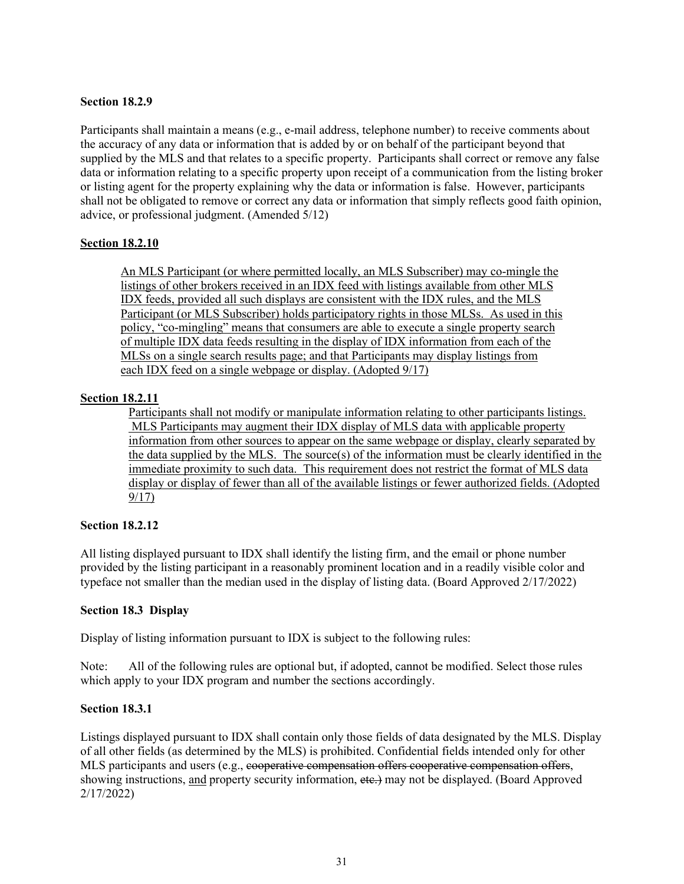# **Section 18.2.9**

Participants shall maintain a means (e.g., e-mail address, telephone number) to receive comments about the accuracy of any data or information that is added by or on behalf of the participant beyond that supplied by the MLS and that relates to a specific property. Participants shall correct or remove any false data or information relating to a specific property upon receipt of a communication from the listing broker or listing agent for the property explaining why the data or information is false. However, participants shall not be obligated to remove or correct any data or information that simply reflects good faith opinion, advice, or professional judgment. (Amended 5/12)

# **Section 18.2.10**

An MLS Participant (or where permitted locally, an MLS Subscriber) may co-mingle the listings of other brokers received in an IDX feed with listings available from other MLS IDX feeds, provided all such displays are consistent with the IDX rules, and the MLS Participant (or MLS Subscriber) holds participatory rights in those MLSs. As used in this policy, "co-mingling" means that consumers are able to execute a single property search of multiple IDX data feeds resulting in the display of IDX information from each of the MLSs on a single search results page; and that Participants may display listings from each IDX feed on a single webpage or display. (Adopted 9/17)

# **Section 18.2.11**

Participants shall not modify or manipulate information relating to other participants listings. MLS Participants may augment their IDX display of MLS data with applicable property information from other sources to appear on the same webpage or display, clearly separated by the data supplied by the MLS. The source(s) of the information must be clearly identified in the immediate proximity to such data. This requirement does not restrict the format of MLS data display or display of fewer than all of the available listings or fewer authorized fields. (Adopted 9/17)

# **Section 18.2.12**

All listing displayed pursuant to IDX shall identify the listing firm, and the email or phone number provided by the listing participant in a reasonably prominent location and in a readily visible color and typeface not smaller than the median used in the display of listing data. (Board Approved 2/17/2022)

# **Section 18.3 Display**

Display of listing information pursuant to IDX is subject to the following rules:

Note: All of the following rules are optional but, if adopted, cannot be modified. Select those rules which apply to your IDX program and number the sections accordingly.

# **Section 18.3.1**

Listings displayed pursuant to IDX shall contain only those fields of data designated by the MLS. Display of all other fields (as determined by the MLS) is prohibited. Confidential fields intended only for other MLS participants and users (e.g., cooperative compensation offers cooperative compensation offers, showing instructions, and property security information, etc.) may not be displayed. (Board Approved 2/17/2022)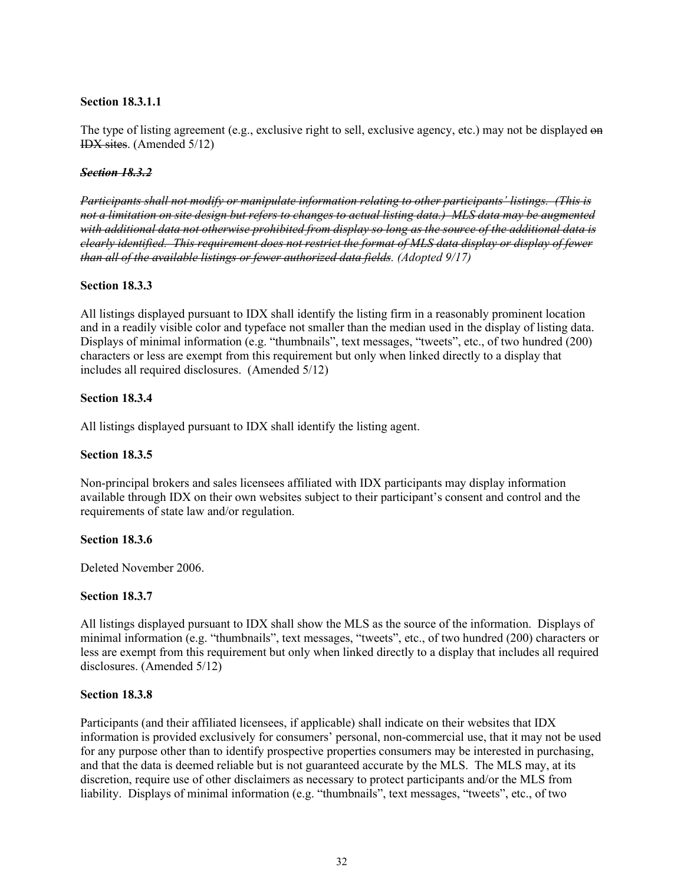# **Section 18.3.1.1**

The type of listing agreement (e.g., exclusive right to sell, exclusive agency, etc.) may not be displayed on IDX sites. (Amended 5/12)

# *Section 18.3.2*

*Participants shall not modify or manipulate information relating to other participants' listings. (This is not a limitation on site design but refers to changes to actual listing data.) MLS data may be augmented with additional data not otherwise prohibited from display so long as the source of the additional data is clearly identified. This requirement does not restrict the format of MLS data display or display of fewer than all of the available listings or fewer authorized data fields. (Adopted 9/17)*

# **Section 18.3.3**

All listings displayed pursuant to IDX shall identify the listing firm in a reasonably prominent location and in a readily visible color and typeface not smaller than the median used in the display of listing data. Displays of minimal information (e.g. "thumbnails", text messages, "tweets", etc., of two hundred (200) characters or less are exempt from this requirement but only when linked directly to a display that includes all required disclosures. (Amended 5/12)

# **Section 18.3.4**

All listings displayed pursuant to IDX shall identify the listing agent.

# **Section 18.3.5**

Non-principal brokers and sales licensees affiliated with IDX participants may display information available through IDX on their own websites subject to their participant's consent and control and the requirements of state law and/or regulation.

# **Section 18.3.6**

Deleted November 2006.

# **Section 18.3.7**

All listings displayed pursuant to IDX shall show the MLS as the source of the information. Displays of minimal information (e.g. "thumbnails", text messages, "tweets", etc., of two hundred (200) characters or less are exempt from this requirement but only when linked directly to a display that includes all required disclosures. (Amended 5/12)

# **Section 18.3.8**

Participants (and their affiliated licensees, if applicable) shall indicate on their websites that IDX information is provided exclusively for consumers' personal, non-commercial use, that it may not be used for any purpose other than to identify prospective properties consumers may be interested in purchasing, and that the data is deemed reliable but is not guaranteed accurate by the MLS. The MLS may, at its discretion, require use of other disclaimers as necessary to protect participants and/or the MLS from liability. Displays of minimal information (e.g. "thumbnails", text messages, "tweets", etc., of two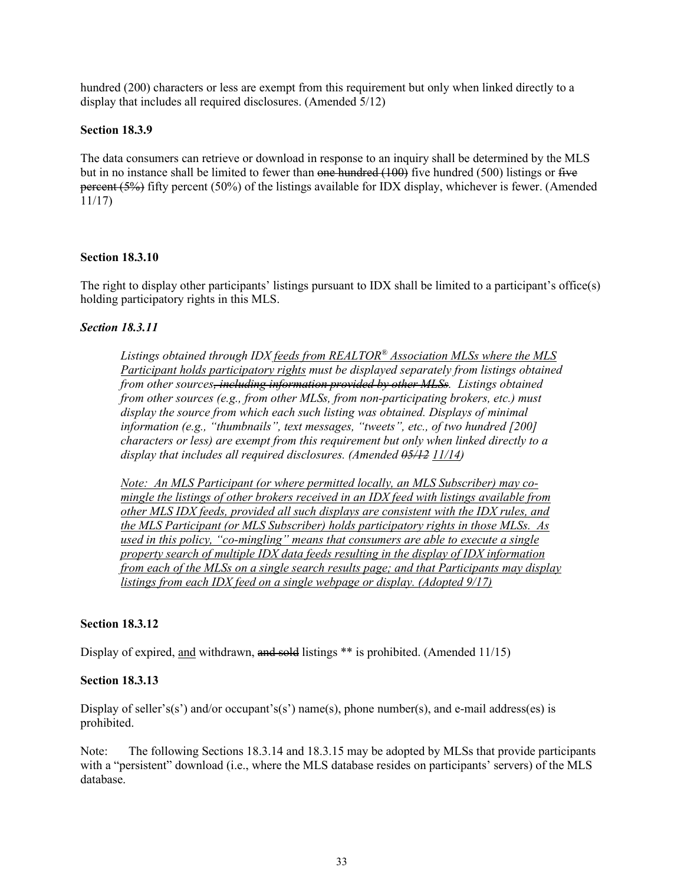hundred (200) characters or less are exempt from this requirement but only when linked directly to a display that includes all required disclosures. (Amended 5/12)

# **Section 18.3.9**

The data consumers can retrieve or download in response to an inquiry shall be determined by the MLS but in no instance shall be limited to fewer than one hundred (100) five hundred (500) listings or five percent (5%) fifty percent (50%) of the listings available for IDX display, whichever is fewer. (Amended 11/17)

# **Section 18.3.10**

The right to display other participants' listings pursuant to IDX shall be limited to a participant's office(s) holding participatory rights in this MLS.

#### *Section 18.3.11*

*Listings obtained through IDX feeds from REALTOR® Association MLSs where the MLS Participant holds participatory rights must be displayed separately from listings obtained from other sources, including information provided by other MLSs. Listings obtained from other sources (e.g., from other MLSs, from non-participating brokers, etc.) must display the source from which each such listing was obtained. Displays of minimal information (e.g., "thumbnails", text messages, "tweets", etc., of two hundred [200] characters or less) are exempt from this requirement but only when linked directly to a display that includes all required disclosures. (Amended 05/12 11/14)*

*Note: An MLS Participant (or where permitted locally, an MLS Subscriber) may comingle the listings of other brokers received in an IDX feed with listings available from other MLS IDX feeds, provided all such displays are consistent with the IDX rules, and the MLS Participant (or MLS Subscriber) holds participatory rights in those MLSs. As used in this policy, "co-mingling" means that consumers are able to execute a single property search of multiple IDX data feeds resulting in the display of IDX information from each of the MLSs on a single search results page; and that Participants may display listings from each IDX feed on a single webpage or display. (Adopted 9/17)*

#### **Section 18.3.12**

Display of expired, and withdrawn, and sold listings \*\* is prohibited. (Amended 11/15)

#### **Section 18.3.13**

Display of seller's(s') and/or occupant's(s') name(s), phone number(s), and e-mail address(es) is prohibited.

Note: The following Sections 18.3.14 and 18.3.15 may be adopted by MLSs that provide participants with a "persistent" download (i.e., where the MLS database resides on participants' servers) of the MLS database.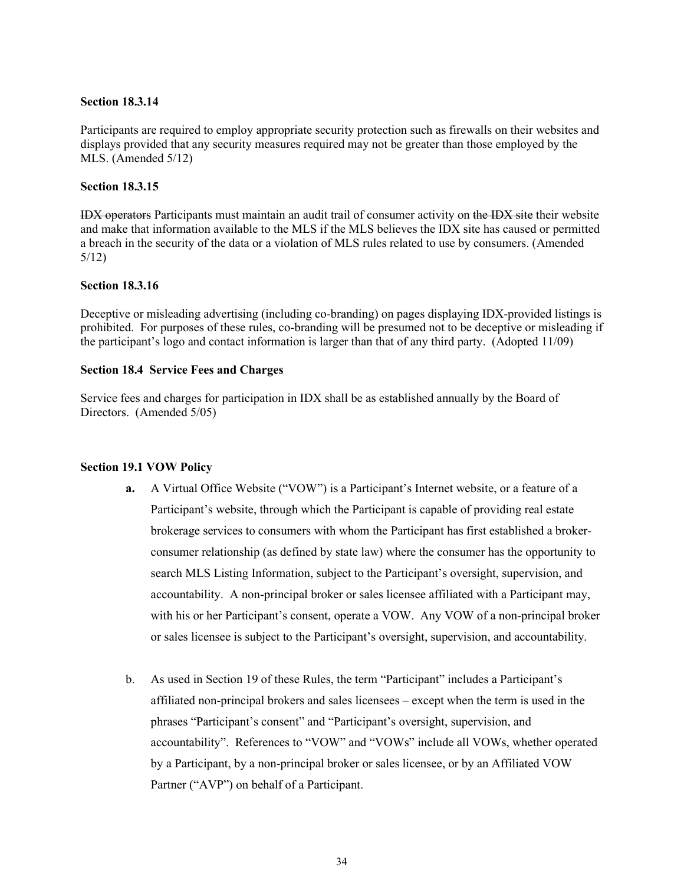#### **Section 18.3.14**

Participants are required to employ appropriate security protection such as firewalls on their websites and displays provided that any security measures required may not be greater than those employed by the MLS. (Amended 5/12)

#### **Section 18.3.15**

IDX operators Participants must maintain an audit trail of consumer activity on the IDX site their website and make that information available to the MLS if the MLS believes the IDX site has caused or permitted a breach in the security of the data or a violation of MLS rules related to use by consumers. (Amended 5/12)

#### **Section 18.3.16**

Deceptive or misleading advertising (including co-branding) on pages displaying IDX-provided listings is prohibited. For purposes of these rules, co-branding will be presumed not to be deceptive or misleading if the participant's logo and contact information is larger than that of any third party. (Adopted 11/09)

#### **Section 18.4 Service Fees and Charges**

Service fees and charges for participation in IDX shall be as established annually by the Board of Directors. (Amended 5/05)

#### **Section 19.1 VOW Policy**

- **a.** A Virtual Office Website ("VOW") is a Participant's Internet website, or a feature of a Participant's website, through which the Participant is capable of providing real estate brokerage services to consumers with whom the Participant has first established a brokerconsumer relationship (as defined by state law) where the consumer has the opportunity to search MLS Listing Information, subject to the Participant's oversight, supervision, and accountability. A non-principal broker or sales licensee affiliated with a Participant may, with his or her Participant's consent, operate a VOW. Any VOW of a non-principal broker or sales licensee is subject to the Participant's oversight, supervision, and accountability.
- b. As used in Section 19 of these Rules, the term "Participant" includes a Participant's affiliated non-principal brokers and sales licensees – except when the term is used in the phrases "Participant's consent" and "Participant's oversight, supervision, and accountability". References to "VOW" and "VOWs" include all VOWs, whether operated by a Participant, by a non-principal broker or sales licensee, or by an Affiliated VOW Partner ("AVP") on behalf of a Participant.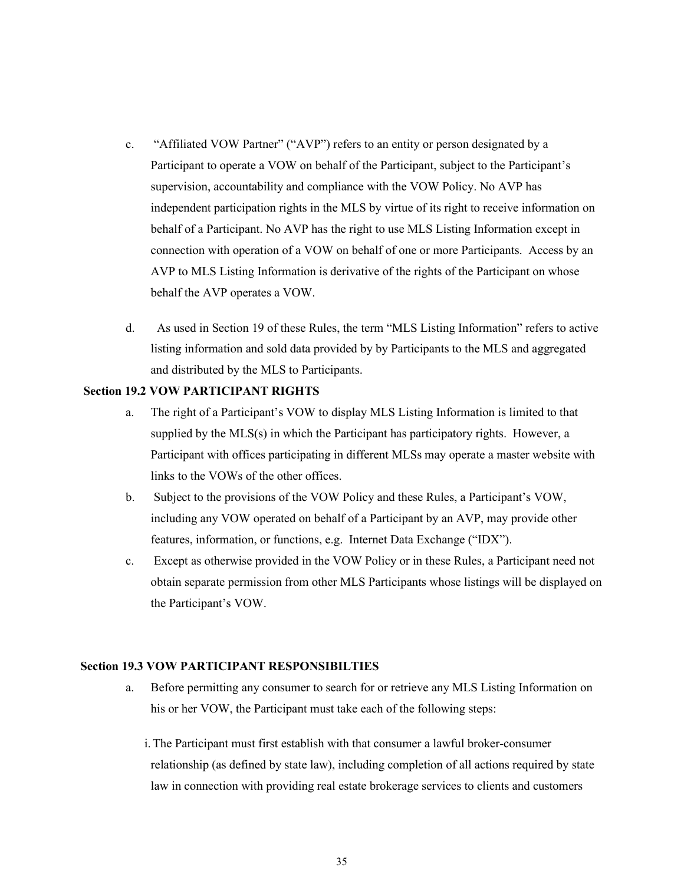- c. "Affiliated VOW Partner" ("AVP") refers to an entity or person designated by a Participant to operate a VOW on behalf of the Participant, subject to the Participant's supervision, accountability and compliance with the VOW Policy. No AVP has independent participation rights in the MLS by virtue of its right to receive information on behalf of a Participant. No AVP has the right to use MLS Listing Information except in connection with operation of a VOW on behalf of one or more Participants. Access by an AVP to MLS Listing Information is derivative of the rights of the Participant on whose behalf the AVP operates a VOW.
- d. As used in Section 19 of these Rules, the term "MLS Listing Information" refers to active listing information and sold data provided by by Participants to the MLS and aggregated and distributed by the MLS to Participants.

#### **Section 19.2 VOW PARTICIPANT RIGHTS**

- a. The right of a Participant's VOW to display MLS Listing Information is limited to that supplied by the MLS(s) in which the Participant has participatory rights. However, a Participant with offices participating in different MLSs may operate a master website with links to the VOWs of the other offices.
- b. Subject to the provisions of the VOW Policy and these Rules, a Participant's VOW, including any VOW operated on behalf of a Participant by an AVP, may provide other features, information, or functions, e.g. Internet Data Exchange ("IDX").
- c. Except as otherwise provided in the VOW Policy or in these Rules, a Participant need not obtain separate permission from other MLS Participants whose listings will be displayed on the Participant's VOW.

#### **Section 19.3 VOW PARTICIPANT RESPONSIBILTIES**

- a. Before permitting any consumer to search for or retrieve any MLS Listing Information on his or her VOW, the Participant must take each of the following steps:
	- i.The Participant must first establish with that consumer a lawful broker-consumer relationship (as defined by state law), including completion of all actions required by state law in connection with providing real estate brokerage services to clients and customers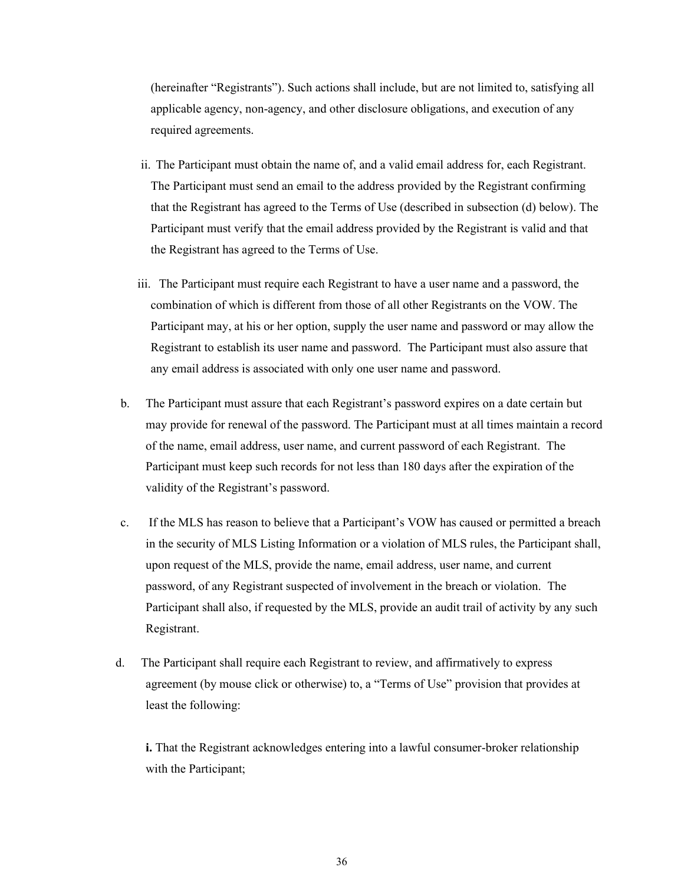(hereinafter "Registrants"). Such actions shall include, but are not limited to, satisfying all applicable agency, non-agency, and other disclosure obligations, and execution of any required agreements.

- ii. The Participant must obtain the name of, and a valid email address for, each Registrant. The Participant must send an email to the address provided by the Registrant confirming that the Registrant has agreed to the Terms of Use (described in subsection (d) below). The Participant must verify that the email address provided by the Registrant is valid and that the Registrant has agreed to the Terms of Use.
- iii. The Participant must require each Registrant to have a user name and a password, the combination of which is different from those of all other Registrants on the VOW. The Participant may, at his or her option, supply the user name and password or may allow the Registrant to establish its user name and password. The Participant must also assure that any email address is associated with only one user name and password.
- b. The Participant must assure that each Registrant's password expires on a date certain but may provide for renewal of the password. The Participant must at all times maintain a record of the name, email address, user name, and current password of each Registrant. The Participant must keep such records for not less than 180 days after the expiration of the validity of the Registrant's password.
- c. If the MLS has reason to believe that a Participant's VOW has caused or permitted a breach in the security of MLS Listing Information or a violation of MLS rules, the Participant shall, upon request of the MLS, provide the name, email address, user name, and current password, of any Registrant suspected of involvement in the breach or violation. The Participant shall also, if requested by the MLS, provide an audit trail of activity by any such Registrant.
- d. The Participant shall require each Registrant to review, and affirmatively to express agreement (by mouse click or otherwise) to, a "Terms of Use" provision that provides at least the following:

**i.** That the Registrant acknowledges entering into a lawful consumer-broker relationship with the Participant;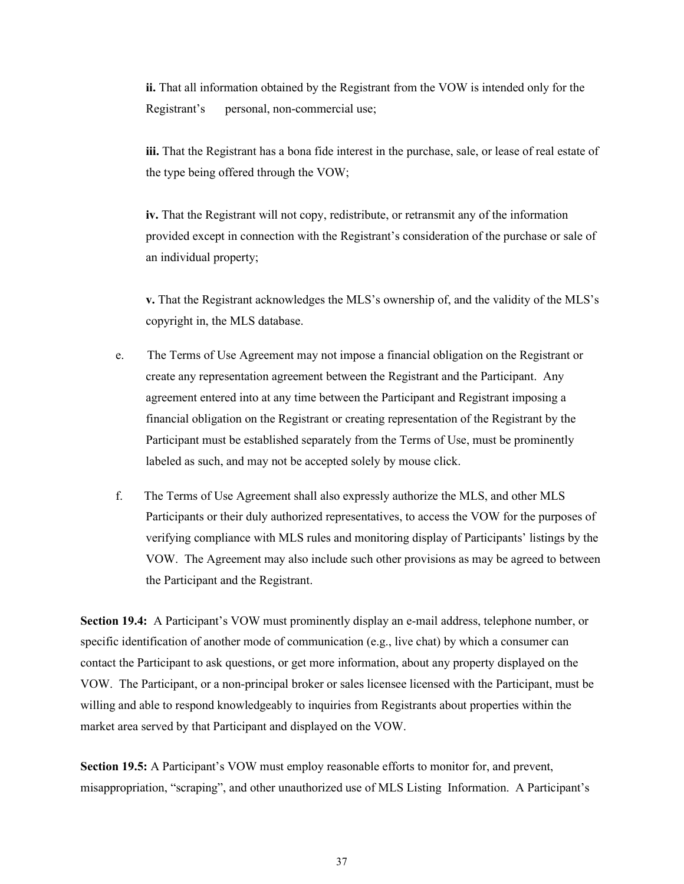**ii.** That all information obtained by the Registrant from the VOW is intended only for the Registrant's personal, non-commercial use;

**iii.** That the Registrant has a bona fide interest in the purchase, sale, or lease of real estate of the type being offered through the VOW;

**iv.** That the Registrant will not copy, redistribute, or retransmit any of the information provided except in connection with the Registrant's consideration of the purchase or sale of an individual property;

**v.** That the Registrant acknowledges the MLS's ownership of, and the validity of the MLS's copyright in, the MLS database.

- e. The Terms of Use Agreement may not impose a financial obligation on the Registrant or create any representation agreement between the Registrant and the Participant. Any agreement entered into at any time between the Participant and Registrant imposing a financial obligation on the Registrant or creating representation of the Registrant by the Participant must be established separately from the Terms of Use, must be prominently labeled as such, and may not be accepted solely by mouse click.
- f. The Terms of Use Agreement shall also expressly authorize the MLS, and other MLS Participants or their duly authorized representatives, to access the VOW for the purposes of verifying compliance with MLS rules and monitoring display of Participants' listings by the VOW. The Agreement may also include such other provisions as may be agreed to between the Participant and the Registrant.

**Section 19.4:** A Participant's VOW must prominently display an e-mail address, telephone number, or specific identification of another mode of communication (e.g., live chat) by which a consumer can contact the Participant to ask questions, or get more information, about any property displayed on the VOW. The Participant, or a non-principal broker or sales licensee licensed with the Participant, must be willing and able to respond knowledgeably to inquiries from Registrants about properties within the market area served by that Participant and displayed on the VOW.

**Section 19.5:** A Participant's VOW must employ reasonable efforts to monitor for, and prevent, misappropriation, "scraping", and other unauthorized use of MLS Listing Information. A Participant's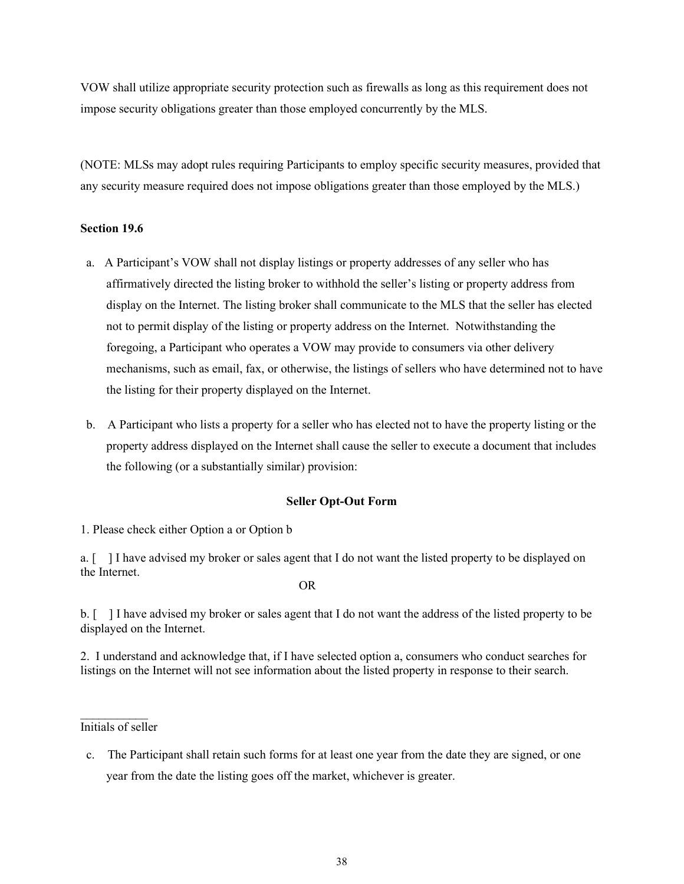VOW shall utilize appropriate security protection such as firewalls as long as this requirement does not impose security obligations greater than those employed concurrently by the MLS.

(NOTE: MLSs may adopt rules requiring Participants to employ specific security measures, provided that any security measure required does not impose obligations greater than those employed by the MLS.)

#### **Section 19.6**

- a. A Participant's VOW shall not display listings or property addresses of any seller who has affirmatively directed the listing broker to withhold the seller's listing or property address from display on the Internet. The listing broker shall communicate to the MLS that the seller has elected not to permit display of the listing or property address on the Internet. Notwithstanding the foregoing, a Participant who operates a VOW may provide to consumers via other delivery mechanisms, such as email, fax, or otherwise, the listings of sellers who have determined not to have the listing for their property displayed on the Internet.
- b. A Participant who lists a property for a seller who has elected not to have the property listing or the property address displayed on the Internet shall cause the seller to execute a document that includes the following (or a substantially similar) provision:

#### **Seller Opt-Out Form**

1. Please check either Option a or Option b

a. [ ] I have advised my broker or sales agent that I do not want the listed property to be displayed on the Internet.

OR

b. [ ] I have advised my broker or sales agent that I do not want the address of the listed property to be displayed on the Internet.

2. I understand and acknowledge that, if I have selected option a, consumers who conduct searches for listings on the Internet will not see information about the listed property in response to their search.

 $\frac{1}{2}$ Initials of seller

c. The Participant shall retain such forms for at least one year from the date they are signed, or one year from the date the listing goes off the market, whichever is greater.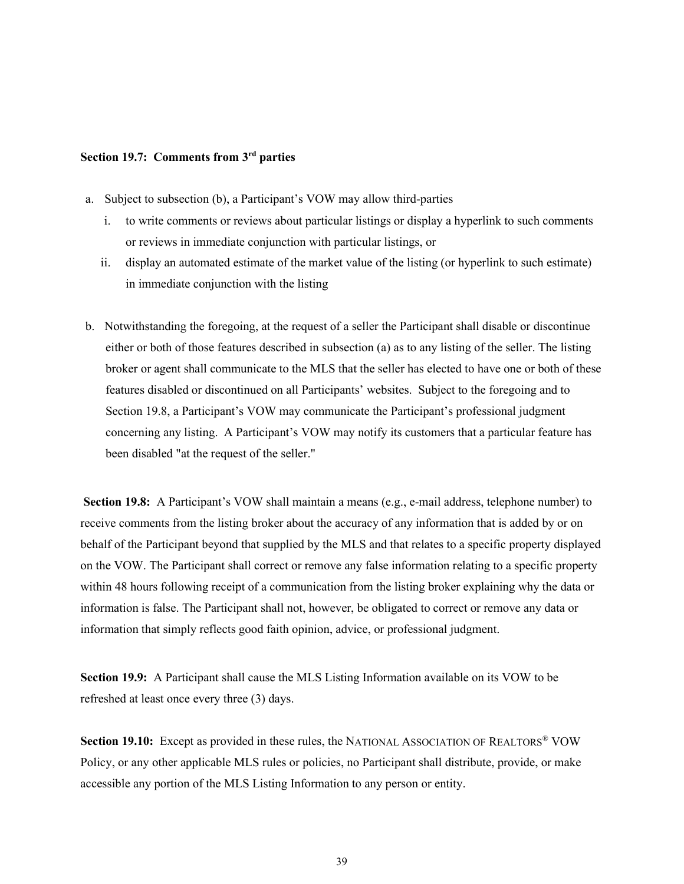#### **Section 19.7: Comments from 3rd parties**

- a. Subject to subsection (b), a Participant's VOW may allow third-parties
	- i. to write comments or reviews about particular listings or display a hyperlink to such comments or reviews in immediate conjunction with particular listings, or
	- ii. display an automated estimate of the market value of the listing (or hyperlink to such estimate) in immediate conjunction with the listing
- b. Notwithstanding the foregoing, at the request of a seller the Participant shall disable or discontinue either or both of those features described in subsection (a) as to any listing of the seller. The listing broker or agent shall communicate to the MLS that the seller has elected to have one or both of these features disabled or discontinued on all Participants' websites. Subject to the foregoing and to Section 19.8, a Participant's VOW may communicate the Participant's professional judgment concerning any listing. A Participant's VOW may notify its customers that a particular feature has been disabled "at the request of the seller."

**Section 19.8:** A Participant's VOW shall maintain a means (e.g., e-mail address, telephone number) to receive comments from the listing broker about the accuracy of any information that is added by or on behalf of the Participant beyond that supplied by the MLS and that relates to a specific property displayed on the VOW. The Participant shall correct or remove any false information relating to a specific property within 48 hours following receipt of a communication from the listing broker explaining why the data or information is false. The Participant shall not, however, be obligated to correct or remove any data or information that simply reflects good faith opinion, advice, or professional judgment.

**Section 19.9:** A Participant shall cause the MLS Listing Information available on its VOW to be refreshed at least once every three (3) days.

**Section 19.10:** Except as provided in these rules, the NATIONAL ASSOCIATION OF REALTORS® VOW Policy, or any other applicable MLS rules or policies, no Participant shall distribute, provide, or make accessible any portion of the MLS Listing Information to any person or entity.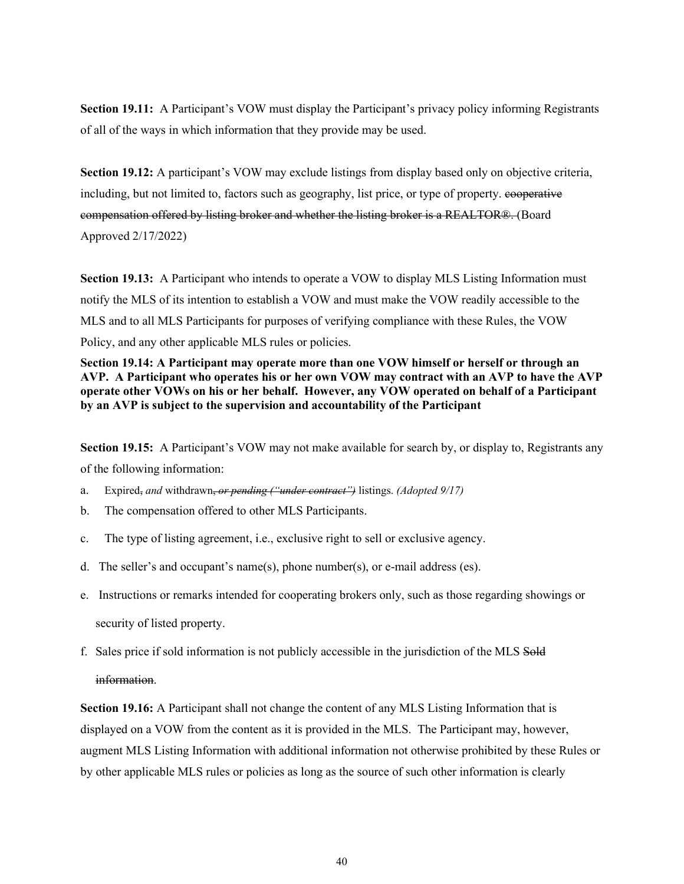**Section 19.11:** A Participant's VOW must display the Participant's privacy policy informing Registrants of all of the ways in which information that they provide may be used.

**Section 19.12:** A participant's VOW may exclude listings from display based only on objective criteria, including, but not limited to, factors such as geography, list price, or type of property. cooperative compensation offered by listing broker and whether the listing broker is a REALTOR®. (Board Approved 2/17/2022)

**Section 19.13:** A Participant who intends to operate a VOW to display MLS Listing Information must notify the MLS of its intention to establish a VOW and must make the VOW readily accessible to the MLS and to all MLS Participants for purposes of verifying compliance with these Rules, the VOW Policy, and any other applicable MLS rules or policies.

**Section 19.14: A Participant may operate more than one VOW himself or herself or through an AVP. A Participant who operates his or her own VOW may contract with an AVP to have the AVP operate other VOWs on his or her behalf. However, any VOW operated on behalf of a Participant by an AVP is subject to the supervision and accountability of the Participant**

**Section 19.15:** A Participant's VOW may not make available for search by, or display to, Registrants any of the following information:

- a. Expired, *and* withdrawn, *or pending ("under contract")* listings. *(Adopted 9/17)*
- b. The compensation offered to other MLS Participants.
- c. The type of listing agreement, i.e., exclusive right to sell or exclusive agency.
- d. The seller's and occupant's name(s), phone number(s), or e-mail address (es).
- e. Instructions or remarks intended for cooperating brokers only, such as those regarding showings or security of listed property.
- f. Sales price if sold information is not publicly accessible in the jurisdiction of the MLS Sold

#### information.

**Section 19.16:** A Participant shall not change the content of any MLS Listing Information that is displayed on a VOW from the content as it is provided in the MLS. The Participant may, however, augment MLS Listing Information with additional information not otherwise prohibited by these Rules or by other applicable MLS rules or policies as long as the source of such other information is clearly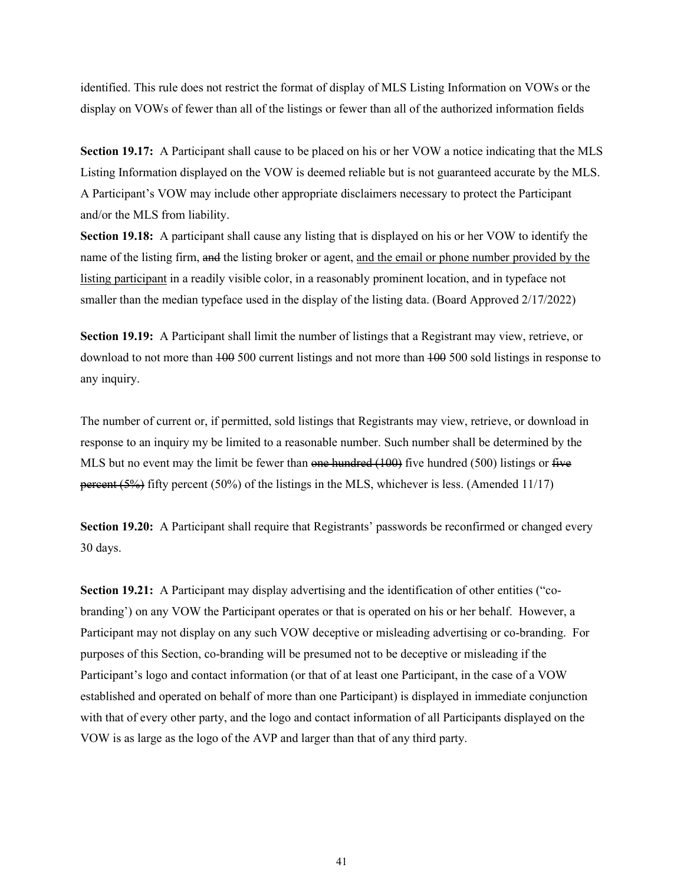identified. This rule does not restrict the format of display of MLS Listing Information on VOWs or the display on VOWs of fewer than all of the listings or fewer than all of the authorized information fields

**Section 19.17:** A Participant shall cause to be placed on his or her VOW a notice indicating that the MLS Listing Information displayed on the VOW is deemed reliable but is not guaranteed accurate by the MLS. A Participant's VOW may include other appropriate disclaimers necessary to protect the Participant and/or the MLS from liability.

**Section 19.18:** A participant shall cause any listing that is displayed on his or her VOW to identify the name of the listing firm, and the listing broker or agent, and the email or phone number provided by the listing participant in a readily visible color, in a reasonably prominent location, and in typeface not smaller than the median typeface used in the display of the listing data. (Board Approved 2/17/2022)

**Section 19.19:** A Participant shall limit the number of listings that a Registrant may view, retrieve, or download to not more than 100 500 current listings and not more than 100 500 sold listings in response to any inquiry.

The number of current or, if permitted, sold listings that Registrants may view, retrieve, or download in response to an inquiry my be limited to a reasonable number. Such number shall be determined by the MLS but no event may the limit be fewer than one hundred  $(100)$  five hundred  $(500)$  listings or five percent (5%) fifty percent (50%) of the listings in the MLS, whichever is less. (Amended 11/17)

**Section 19.20:** A Participant shall require that Registrants' passwords be reconfirmed or changed every 30 days.

**Section 19.21:** A Participant may display advertising and the identification of other entities ("cobranding') on any VOW the Participant operates or that is operated on his or her behalf. However, a Participant may not display on any such VOW deceptive or misleading advertising or co-branding. For purposes of this Section, co-branding will be presumed not to be deceptive or misleading if the Participant's logo and contact information (or that of at least one Participant, in the case of a VOW established and operated on behalf of more than one Participant) is displayed in immediate conjunction with that of every other party, and the logo and contact information of all Participants displayed on the VOW is as large as the logo of the AVP and larger than that of any third party.